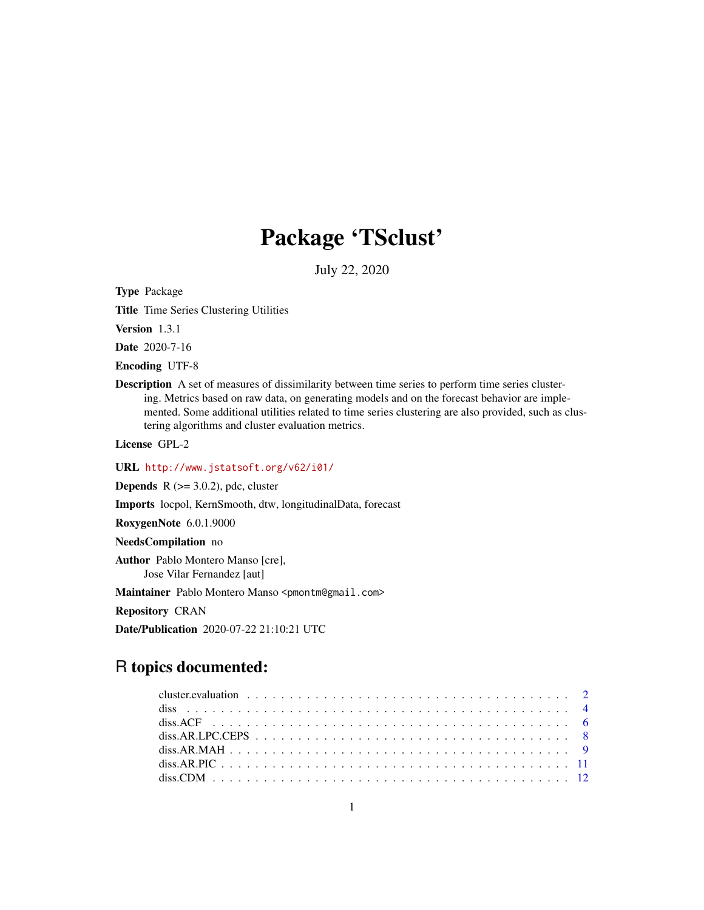# Package 'TSclust'

July 22, 2020

<span id="page-0-0"></span>Type Package

Title Time Series Clustering Utilities

Version 1.3.1

Date 2020-7-16

Encoding UTF-8

Description A set of measures of dissimilarity between time series to perform time series clustering. Metrics based on raw data, on generating models and on the forecast behavior are implemented. Some additional utilities related to time series clustering are also provided, such as clustering algorithms and cluster evaluation metrics.

License GPL-2

URL <http://www.jstatsoft.org/v62/i01/>

**Depends** R  $(>= 3.0.2)$ , pdc, cluster

Imports locpol, KernSmooth, dtw, longitudinalData, forecast

RoxygenNote 6.0.1.9000

NeedsCompilation no

Author Pablo Montero Manso [cre], Jose Vilar Fernandez [aut]

Maintainer Pablo Montero Manso <pmontm@gmail.com>

Repository CRAN

Date/Publication 2020-07-22 21:10:21 UTC

# R topics documented: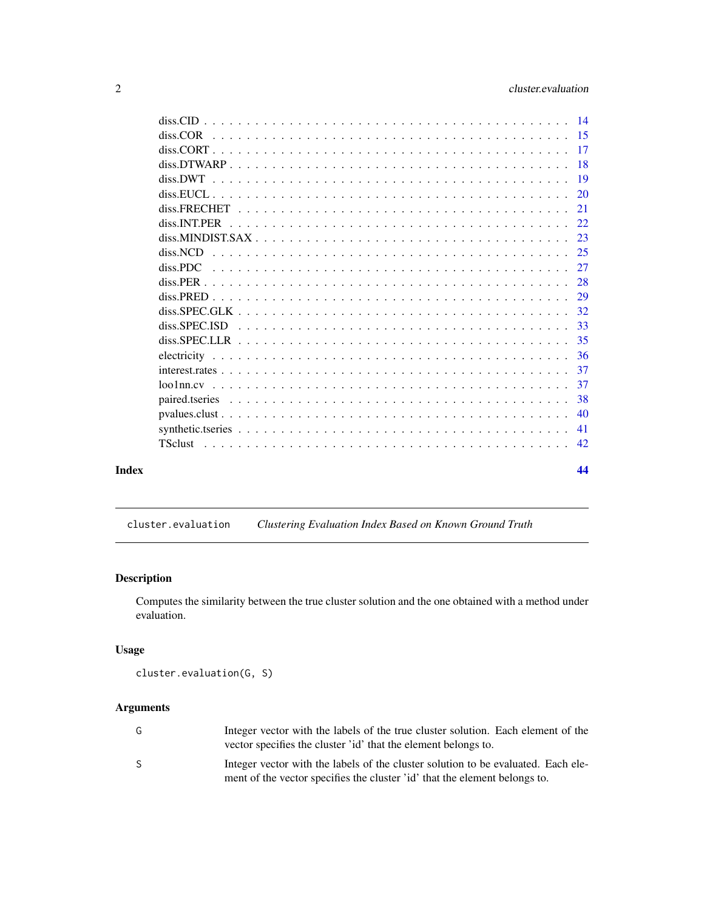<span id="page-1-0"></span>

| Index |          | 44 |
|-------|----------|----|
|       |          |    |
|       |          |    |
|       |          |    |
|       |          |    |
|       |          |    |
|       |          |    |
|       |          |    |
|       |          |    |
|       |          |    |
|       |          |    |
|       |          |    |
|       |          |    |
|       | diss.PDC | 27 |
|       | diss.NCD |    |
|       |          |    |
|       |          |    |
|       |          | 21 |
|       |          |    |
|       |          |    |
|       |          |    |
|       |          |    |
|       |          |    |
|       |          |    |

<span id="page-1-1"></span>cluster.evaluation *Clustering Evaluation Index Based on Known Ground Truth*

# Description

Computes the similarity between the true cluster solution and the one obtained with a method under evaluation.

# Usage

```
cluster.evaluation(G, S)
```
# Arguments

| G  | Integer vector with the labels of the true cluster solution. Each element of the<br>vector specifies the cluster 'id' that the element belongs to.              |
|----|-----------------------------------------------------------------------------------------------------------------------------------------------------------------|
| S. | Integer vector with the labels of the cluster solution to be evaluated. Each ele-<br>ment of the vector specifies the cluster 'id' that the element belongs to. |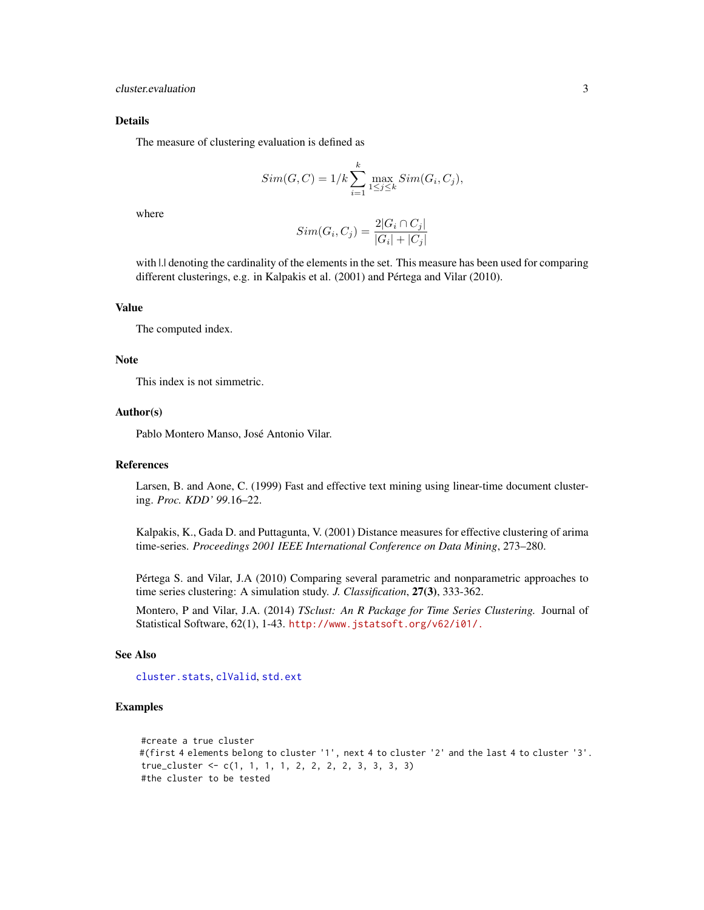# <span id="page-2-0"></span>Details

The measure of clustering evaluation is defined as

$$
Sim(G, C) = 1/k \sum_{i=1}^{k} \max_{1 \le j \le k} Sim(G_i, C_j),
$$

where

$$
Sim(G_i, C_j) = \frac{2|G_i \cap C_j|}{|G_i| + |C_j|}
$$

with  $\lfloor$ . denoting the cardinality of the elements in the set. This measure has been used for comparing different clusterings, e.g. in Kalpakis et al. (2001) and Pértega and Vilar (2010).

#### Value

The computed index.

# Note

This index is not simmetric.

## Author(s)

Pablo Montero Manso, José Antonio Vilar.

## References

Larsen, B. and Aone, C. (1999) Fast and effective text mining using linear-time document clustering. *Proc. KDD' 99*.16–22.

Kalpakis, K., Gada D. and Puttagunta, V. (2001) Distance measures for effective clustering of arima time-series. *Proceedings 2001 IEEE International Conference on Data Mining*, 273–280.

Pértega S. and Vilar, J.A (2010) Comparing several parametric and nonparametric approaches to time series clustering: A simulation study. *J. Classification*, 27(3), 333-362.

Montero, P and Vilar, J.A. (2014) *TSclust: An R Package for Time Series Clustering.* Journal of Statistical Software, 62(1), 1-43. <http://www.jstatsoft.org/v62/i01/.>

#### See Also

[cluster.stats](#page-0-0), [clValid](#page-0-0), [std.ext](#page-0-0)

# Examples

```
#create a true cluster
#(first 4 elements belong to cluster '1', next 4 to cluster '2' and the last 4 to cluster '3'.
true_cluster <- c(1, 1, 1, 1, 2, 2, 2, 2, 3, 3, 3, 3)
#the cluster to be tested
```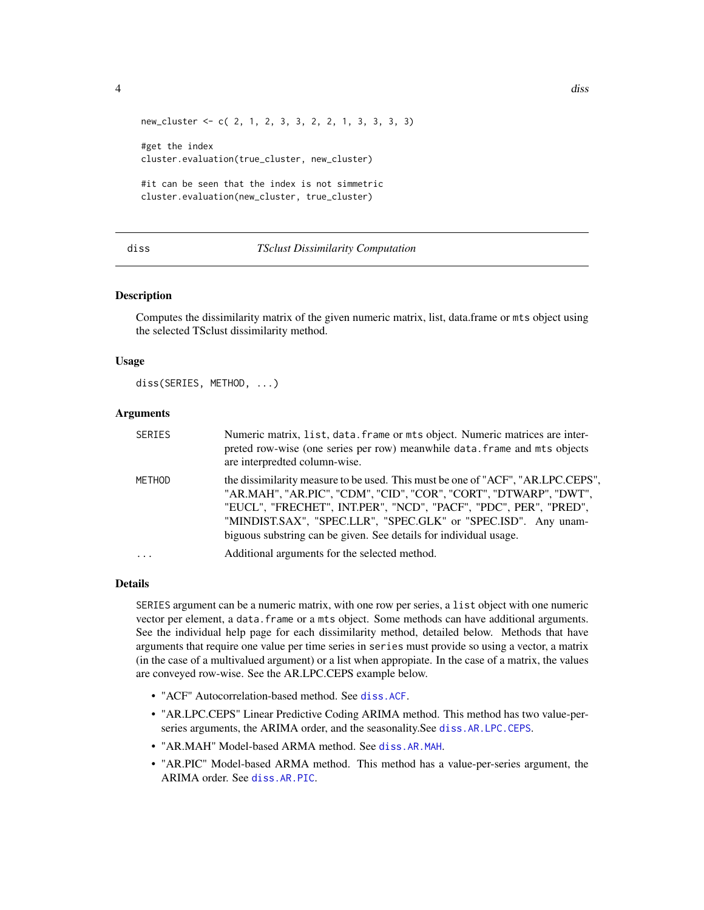<span id="page-3-0"></span>

```
new_cluster <- c( 2, 1, 2, 3, 3, 2, 2, 1, 3, 3, 3, 3)
```
#get the index cluster.evaluation(true\_cluster, new\_cluster)

#it can be seen that the index is not simmetric cluster.evaluation(new\_cluster, true\_cluster)

#### <span id="page-3-1"></span>diss *TSclust Dissimilarity Computation*

# Description

Computes the dissimilarity matrix of the given numeric matrix, list, data.frame or mts object using the selected TSclust dissimilarity method.

# Usage

diss(SERIES, METHOD, ...)

#### Arguments

| SERIES | Numeric matrix, list, data. frame or mts object. Numeric matrices are inter-<br>preted row-wise (one series per row) meanwhile data. frame and mts objects<br>are interpredted column-wise.                                                                                                                                                                     |
|--------|-----------------------------------------------------------------------------------------------------------------------------------------------------------------------------------------------------------------------------------------------------------------------------------------------------------------------------------------------------------------|
| METHOD | the dissimilarity measure to be used. This must be one of "ACF", "AR.LPC.CEPS",<br>"AR.MAH", "AR.PIC", "CDM", "CID", "COR", "CORT", "DTWARP", "DWT",<br>"EUCL", "FRECHET", INT.PER", "NCD", "PACF", "PDC", PER", "PRED",<br>"MINDIST.SAX", "SPEC.LLR", "SPEC.GLK" or "SPEC.ISD". Any unam-<br>biguous substring can be given. See details for individual usage. |
| .      | Additional arguments for the selected method.                                                                                                                                                                                                                                                                                                                   |

## Details

SERIES argument can be a numeric matrix, with one row per series, a list object with one numeric vector per element, a data.frame or a mts object. Some methods can have additional arguments. See the individual help page for each dissimilarity method, detailed below. Methods that have arguments that require one value per time series in series must provide so using a vector, a matrix (in the case of a multivalued argument) or a list when appropiate. In the case of a matrix, the values are conveyed row-wise. See the AR.LPC.CEPS example below.

- "ACF" Autocorrelation-based method. See [diss.ACF](#page-5-1).
- "AR.LPC.CEPS" Linear Predictive Coding ARIMA method. This method has two value-perseries arguments, the ARIMA order, and the seasonality.See [diss.AR.LPC.CEPS](#page-7-1).
- "AR.MAH" Model-based ARMA method. See [diss.AR.MAH](#page-8-1).
- "AR.PIC" Model-based ARMA method. This method has a value-per-series argument, the ARIMA order. See [diss.AR.PIC](#page-10-1).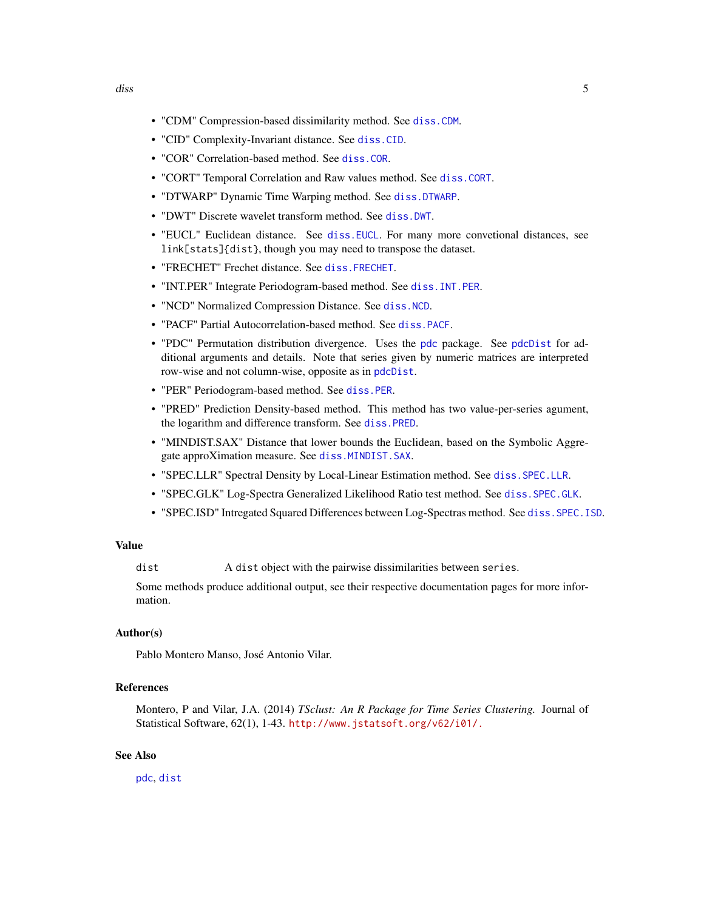- <span id="page-4-0"></span>• "CDM" Compression-based dissimilarity method. See [diss.CDM](#page-11-1).
- "CID" Complexity-Invariant distance. See [diss.CID](#page-13-1).
- "COR" Correlation-based method. See [diss.COR](#page-14-1).
- "CORT" Temporal Correlation and Raw values method. See [diss.CORT](#page-16-1).
- "DTWARP" Dynamic Time Warping method. See [diss.DTWARP](#page-17-1).
- "DWT" Discrete wavelet transform method. See [diss.DWT](#page-18-1).
- "EUCL" Euclidean distance. See [diss.EUCL](#page-19-1). For many more convetional distances, see link[stats]{dist}, though you may need to transpose the dataset.
- "FRECHET" Frechet distance. See [diss.FRECHET](#page-20-1).
- "INT.PER" Integrate Periodogram-based method. See [diss.INT.PER](#page-21-1).
- "NCD" Normalized Compression Distance. See [diss.NCD](#page-24-1).
- "PACF" Partial Autocorrelation-based method. See [diss.PACF](#page-5-2).
- "PDC" Permutation distribution divergence. Uses the [pdc](#page-0-0) package. See [pdcDist](#page-0-0) for additional arguments and details. Note that series given by numeric matrices are interpreted row-wise and not column-wise, opposite as in [pdcDist](#page-0-0).
- "PER" Periodogram-based method. See [diss.PER](#page-27-1).
- "PRED" Prediction Density-based method. This method has two value-per-series agument, the logarithm and difference transform. See [diss.PRED](#page-28-1).
- "MINDIST.SAX" Distance that lower bounds the Euclidean, based on the Symbolic Aggregate approXimation measure. See [diss.MINDIST.SAX](#page-22-1).
- "SPEC.LLR" Spectral Density by Local-Linear Estimation method. See [diss.SPEC.LLR](#page-34-1).
- "SPEC.GLK" Log-Spectra Generalized Likelihood Ratio test method. See [diss.SPEC.GLK](#page-31-1).
- "SPEC.ISD" Intregated Squared Differences between Log-Spectras method. See [diss.SPEC.ISD](#page-32-1).

#### Value

dist A dist object with the pairwise dissimilarities between series.

Some methods produce additional output, see their respective documentation pages for more information.

# Author(s)

Pablo Montero Manso, José Antonio Vilar.

# References

Montero, P and Vilar, J.A. (2014) *TSclust: An R Package for Time Series Clustering.* Journal of Statistical Software, 62(1), 1-43. <http://www.jstatsoft.org/v62/i01/.>

## See Also

[pdc](#page-0-0), [dist](#page-0-0)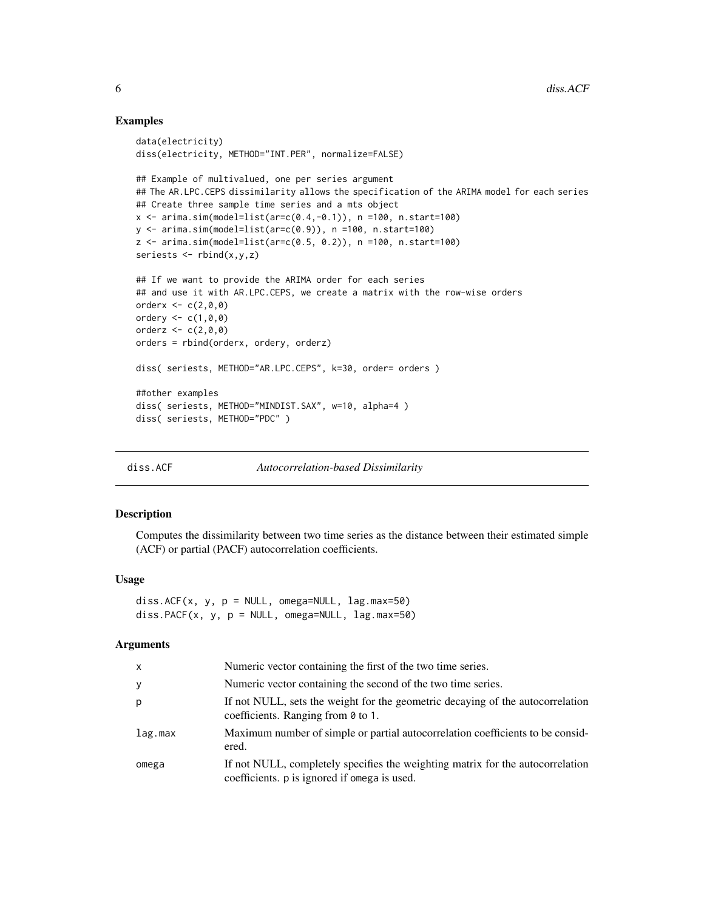# Examples

```
data(electricity)
diss(electricity, METHOD="INT.PER", normalize=FALSE)
## Example of multivalued, one per series argument
## The AR.LPC.CEPS dissimilarity allows the specification of the ARIMA model for each series
## Create three sample time series and a mts object
x <- arima.sim(model=list(ar=c(0.4,-0.1)), n =100, n.start=100)
y <- arima.sim(model=list(ar=c(0.9)), n =100, n.start=100)
z <- arima.sim(model=list(ar=c(0.5, 0.2)), n =100, n.start=100)
seriests \leq rbind(x, y, z)## If we want to provide the ARIMA order for each series
## and use it with AR.LPC.CEPS, we create a matrix with the row-wise orders
orderx <-c(2,0,0)ordery <-c(1,0,0)orderz <-c(2,0,0)orders = rbind(orderx, ordery, orderz)
diss( seriests, METHOD="AR.LPC.CEPS", k=30, order= orders )
##other examples
diss( seriests, METHOD="MINDIST.SAX", w=10, alpha=4 )
diss( seriests, METHOD="PDC" )
```
<span id="page-5-1"></span>diss.ACF *Autocorrelation-based Dissimilarity*

## <span id="page-5-2"></span>Description

Computes the dissimilarity between two time series as the distance between their estimated simple (ACF) or partial (PACF) autocorrelation coefficients.

## Usage

diss.ACF( $x$ ,  $y$ ,  $p = NULL$ , omega=NULL,  $lag.max=50$ ) diss.PACF( $x$ ,  $y$ ,  $p = NULL$ , omega=NULL,  $lag.max=50$ )

# Arguments

| X       | Numeric vector containing the first of the two time series.                                                                    |
|---------|--------------------------------------------------------------------------------------------------------------------------------|
| У       | Numeric vector containing the second of the two time series.                                                                   |
| р       | If not NULL, sets the weight for the geometric decaying of the autocorrelation<br>coefficients. Ranging from $\theta$ to 1.    |
| lag.max | Maximum number of simple or partial autocorrelation coefficients to be consid-<br>ered.                                        |
| omega   | If not NULL, completely specifies the weighting matrix for the autocorrelation<br>coefficients. p is ignored if omega is used. |

<span id="page-5-0"></span>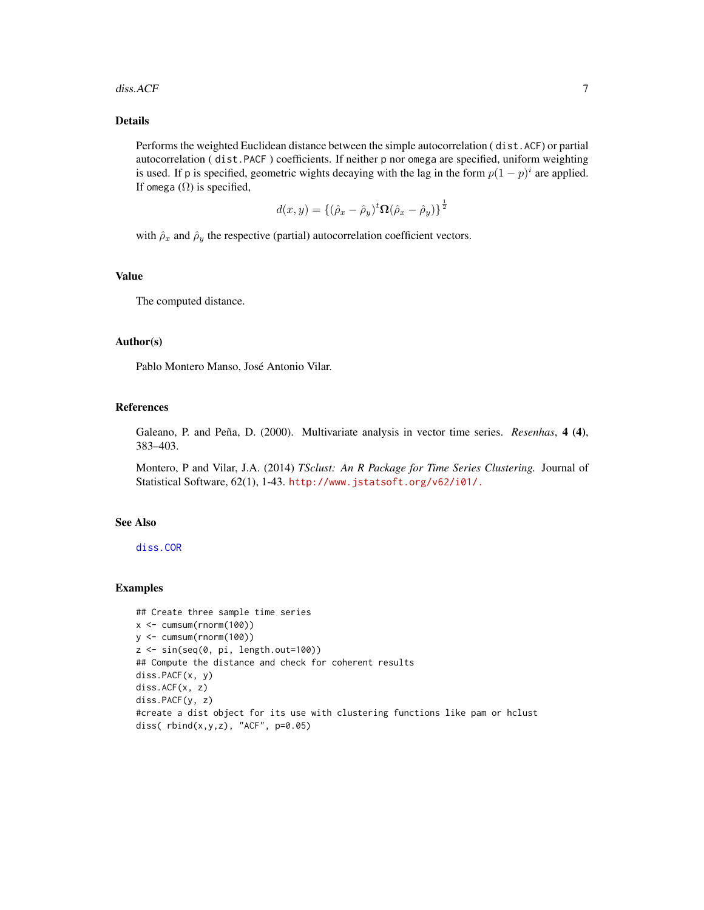#### <span id="page-6-0"></span>diss.ACF 7

# Details

Performs the weighted Euclidean distance between the simple autocorrelation ( dist.ACF) or partial autocorrelation ( dist.PACF ) coefficients. If neither p nor omega are specified, uniform weighting is used. If p is specified, geometric wights decaying with the lag in the form  $p(1-p)^i$  are applied. If omega  $(\Omega)$  is specified,

$$
d(x,y) = \left\{(\hat{\rho}_x - \hat{\rho}_y)^t \mathbf{\Omega}(\hat{\rho}_x - \hat{\rho}_y)\right\}^{\frac{1}{2}}
$$

with  $\hat{\rho}_x$  and  $\hat{\rho}_y$  the respective (partial) autocorrelation coefficient vectors.

#### Value

The computed distance.

## Author(s)

Pablo Montero Manso, José Antonio Vilar.

# References

Galeano, P. and Peña, D. (2000). Multivariate analysis in vector time series. *Resenhas*, 4 (4), 383–403.

Montero, P and Vilar, J.A. (2014) *TSclust: An R Package for Time Series Clustering.* Journal of Statistical Software, 62(1), 1-43. <http://www.jstatsoft.org/v62/i01/.>

## See Also

[diss.COR](#page-14-1)

# Examples

```
## Create three sample time series
x < -cumsum(rnorm(100)y <- cumsum(rnorm(100))
z <- sin(seq(0, pi, length.out=100))
## Compute the distance and check for coherent results
diss.PACF(x, y)
diss.ACF(x, z)
diss.PACF(y, z)
#create a dist object for its use with clustering functions like pam or hclust
diss( rbind(x,y,z), "ACF", p=0.05)
```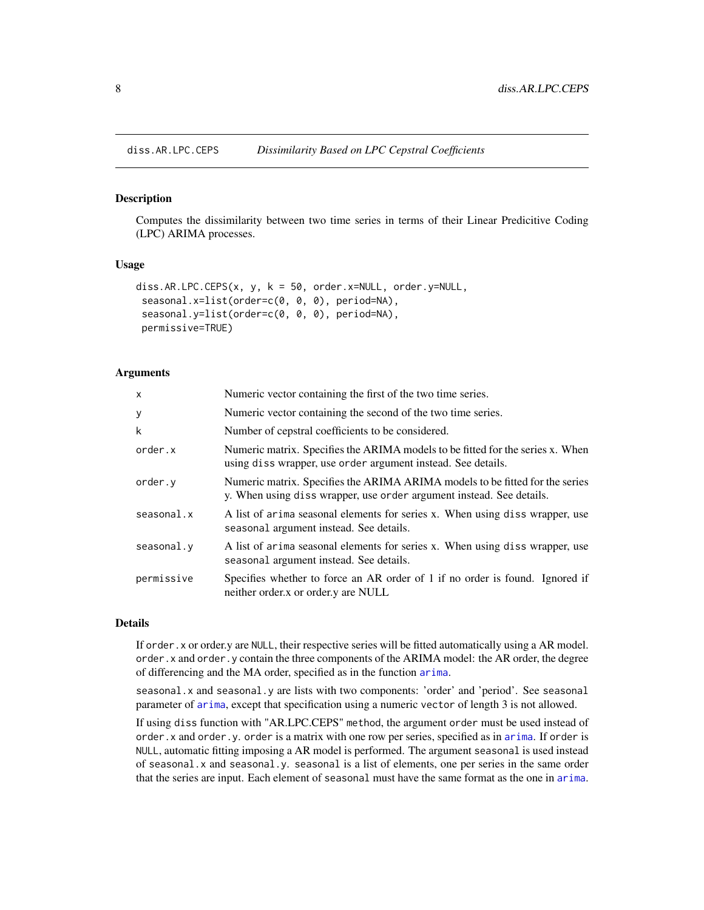<span id="page-7-1"></span><span id="page-7-0"></span>

#### Description

Computes the dissimilarity between two time series in terms of their Linear Predicitive Coding (LPC) ARIMA processes.

# Usage

```
diss.AR.LPC.CEPS(x, y, k = 50, order.x=NULL, order.y=NULL,
seasonal.x=list(order=c(0, 0, 0), period=NA),
seasonal.y=list(order=c(0, 0, 0), period=NA),
permissive=TRUE)
```
#### Arguments

| $\boldsymbol{\mathsf{x}}$ | Numeric vector containing the first of the two time series.                                                                                          |
|---------------------------|------------------------------------------------------------------------------------------------------------------------------------------------------|
| y                         | Numeric vector containing the second of the two time series.                                                                                         |
| k                         | Number of cepstral coefficients to be considered.                                                                                                    |
| order.x                   | Numeric matrix. Specifies the ARIMA models to be fitted for the series x. When<br>using diss wrapper, use order argument instead. See details.       |
| order.y                   | Numeric matrix. Specifies the ARIMA ARIMA models to be fitted for the series<br>y. When using diss wrapper, use order argument instead. See details. |
| seasonal.x                | A list of arima seasonal elements for series x. When using diss wrapper, use<br>seasonal argument instead. See details.                              |
| seasonal.y                | A list of arima seasonal elements for series x. When using diss wrapper, use<br>seasonal argument instead. See details.                              |
| permissive                | Specifies whether to force an AR order of 1 if no order is found. Ignored if<br>neither order x or order y are NULL                                  |

## Details

If order.x or order.y are NULL, their respective series will be fitted automatically using a AR model. order.x and order.y contain the three components of the ARIMA model: the AR order, the degree of differencing and the MA order, specified as in the function [arima](#page-0-0).

seasonal.x and seasonal.y are lists with two components: 'order' and 'period'. See seasonal parameter of [arima](#page-0-0), except that specification using a numeric vector of length 3 is not allowed.

If using diss function with "AR.LPC.CEPS" method, the argument order must be used instead of order.x and order.y. order is a matrix with one row per series, specified as in [arima](#page-0-0). If order is NULL, automatic fitting imposing a AR model is performed. The argument seasonal is used instead of seasonal.x and seasonal.y. seasonal is a list of elements, one per series in the same order that the series are input. Each element of seasonal must have the same format as the one in [arima](#page-0-0).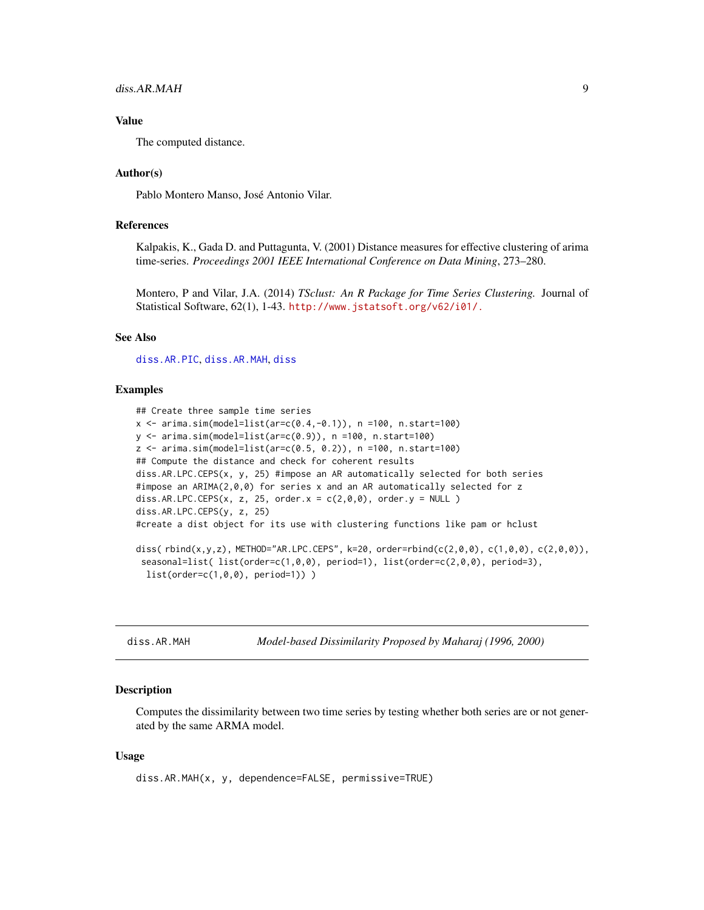# <span id="page-8-0"></span>diss.AR.MAH 9

# Value

The computed distance.

# Author(s)

Pablo Montero Manso, José Antonio Vilar.

# References

Kalpakis, K., Gada D. and Puttagunta, V. (2001) Distance measures for effective clustering of arima time-series. *Proceedings 2001 IEEE International Conference on Data Mining*, 273–280.

Montero, P and Vilar, J.A. (2014) *TSclust: An R Package for Time Series Clustering.* Journal of Statistical Software, 62(1), 1-43. <http://www.jstatsoft.org/v62/i01/.>

# See Also

[diss.AR.PIC](#page-10-1), [diss.AR.MAH](#page-8-1), [diss](#page-3-1)

## Examples

```
## Create three sample time series
x < -arima.sim(model=list(ar=c(0.4,-0.1)), n =100, n.start=100)y <- arima.sim(model=list(ar=c(0.9)), n =100, n.start=100)
z <- arima.sim(model=list(ar=c(0.5, 0.2)), n =100, n.start=100)
## Compute the distance and check for coherent results
diss.AR.LPC.CEPS(x, y, 25) #impose an AR automatically selected for both series
#impose an ARIMA(2,0,0) for series x and an AR automatically selected for z
diss.AR.LPC.CEPS(x, z, 25, order.x = c(2,0,0), order.y = NULL )
diss.AR.LPC.CEPS(y, z, 25)
#create a dist object for its use with clustering functions like pam or hclust
diss(rbind(x,y,z), METHOD="AR.LPC.CEPS", k=20, order=rbind(c(2,0,0), c(1,0,0), c(2,0,0)),
 seasonal=list( list(order=c(1,0,0), period=1), list(order=c(2,0,0), period=3),
  list(order=c(1,0,0), period=1)) )
```
<span id="page-8-1"></span>diss.AR.MAH *Model-based Dissimilarity Proposed by Maharaj (1996, 2000)*

#### Description

Computes the dissimilarity between two time series by testing whether both series are or not generated by the same ARMA model.

## Usage

diss.AR.MAH(x, y, dependence=FALSE, permissive=TRUE)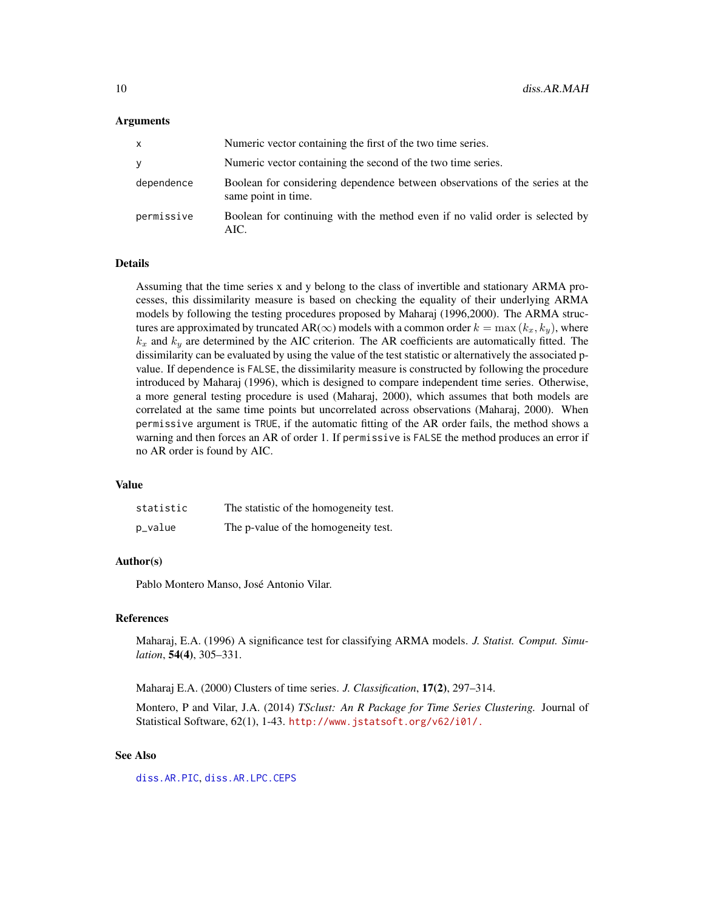## <span id="page-9-0"></span>Arguments

| X          | Numeric vector containing the first of the two time series.                                         |
|------------|-----------------------------------------------------------------------------------------------------|
| y          | Numeric vector containing the second of the two time series.                                        |
| dependence | Boolean for considering dependence between observations of the series at the<br>same point in time. |
| permissive | Boolean for continuing with the method even if no valid order is selected by<br>AIC.                |

## Details

Assuming that the time series x and y belong to the class of invertible and stationary ARMA processes, this dissimilarity measure is based on checking the equality of their underlying ARMA models by following the testing procedures proposed by Maharaj (1996,2000). The ARMA structures are approximated by truncated AR( $\infty$ ) models with a common order  $k = \max(k_x, k_y)$ , where  $k_x$  and  $k_y$  are determined by the AIC criterion. The AR coefficients are automatically fitted. The dissimilarity can be evaluated by using the value of the test statistic or alternatively the associated pvalue. If dependence is FALSE, the dissimilarity measure is constructed by following the procedure introduced by Maharaj (1996), which is designed to compare independent time series. Otherwise, a more general testing procedure is used (Maharaj, 2000), which assumes that both models are correlated at the same time points but uncorrelated across observations (Maharaj, 2000). When permissive argument is TRUE, if the automatic fitting of the AR order fails, the method shows a warning and then forces an AR of order 1. If permissive is FALSE the method produces an error if no AR order is found by AIC.

## Value

| statistic | The statistic of the homogeneity test. |
|-----------|----------------------------------------|
| p_value   | The p-value of the homogeneity test.   |

# Author(s)

Pablo Montero Manso, José Antonio Vilar.

# References

Maharaj, E.A. (1996) A significance test for classifying ARMA models. *J. Statist. Comput. Simulation*, 54(4), 305–331.

Maharaj E.A. (2000) Clusters of time series. *J. Classification*, 17(2), 297–314.

Montero, P and Vilar, J.A. (2014) *TSclust: An R Package for Time Series Clustering.* Journal of Statistical Software, 62(1), 1-43. <http://www.jstatsoft.org/v62/i01/.>

# See Also

[diss.AR.PIC](#page-10-1), [diss.AR.LPC.CEPS](#page-7-1)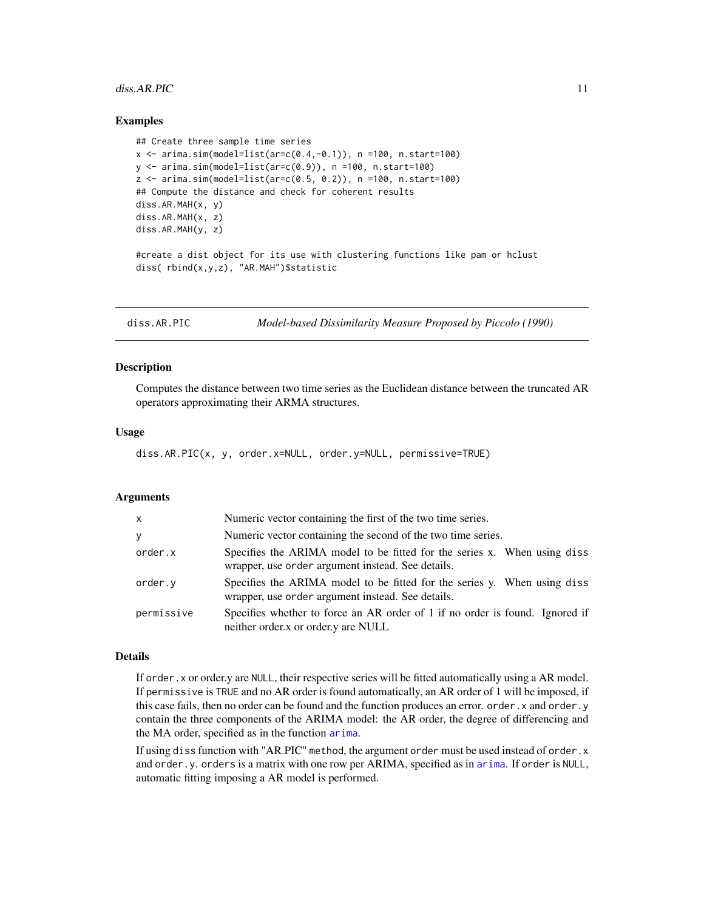#### <span id="page-10-0"></span> $diss.AR.PIC$  11

# Examples

```
## Create three sample time series
x \le -\arima.sim(model-list(ar=c(0.4,-0.1)), n =100, n.start=100)y \le -\arima.sim(model=list(ar=c(0.9)), n =100, n.start=100)z \leq -\arima.sim(model=list(ar=c(0.5, 0.2)), n =100, n.start=100)
## Compute the distance and check for coherent results
diss.AR.MAH(x, y)
diss.AR.MAH(x, z)
diss.AR.MAH(y, z)
#create a dist object for its use with clustering functions like pam or hclust
diss( rbind(x,y,z), "AR.MAH")$statistic
```
<span id="page-10-1"></span>

|  | diss.AR.PIC | Model-based Dissimilarity Measure Proposed by Piccolo (1990) |
|--|-------------|--------------------------------------------------------------|
|--|-------------|--------------------------------------------------------------|

## Description

Computes the distance between two time series as the Euclidean distance between the truncated AR operators approximating their ARMA structures.

#### Usage

diss.AR.PIC(x, y, order.x=NULL, order.y=NULL, permissive=TRUE)

# Arguments

| X          | Numeric vector containing the first of the two time series.                                                                   |
|------------|-------------------------------------------------------------------------------------------------------------------------------|
| y          | Numeric vector containing the second of the two time series.                                                                  |
| order.x    | Specifies the ARIMA model to be fitted for the series x. When using diss<br>wrapper, use order argument instead. See details. |
| order.y    | Specifies the ARIMA model to be fitted for the series y. When using diss<br>wrapper, use order argument instead. See details. |
| permissive | Specifies whether to force an AR order of 1 if no order is found. Ignored if<br>neither order x or order y are NULL           |

# Details

If order.x or order.y are NULL, their respective series will be fitted automatically using a AR model. If permissive is TRUE and no AR order is found automatically, an AR order of 1 will be imposed, if this case fails, then no order can be found and the function produces an error. order.x and order.y contain the three components of the ARIMA model: the AR order, the degree of differencing and the MA order, specified as in the function [arima](#page-0-0).

If using diss function with "AR.PIC" method, the argument order must be used instead of order.x and order.y. orders is a matrix with one row per ARIMA, specified as in [arima](#page-0-0). If order is NULL, automatic fitting imposing a AR model is performed.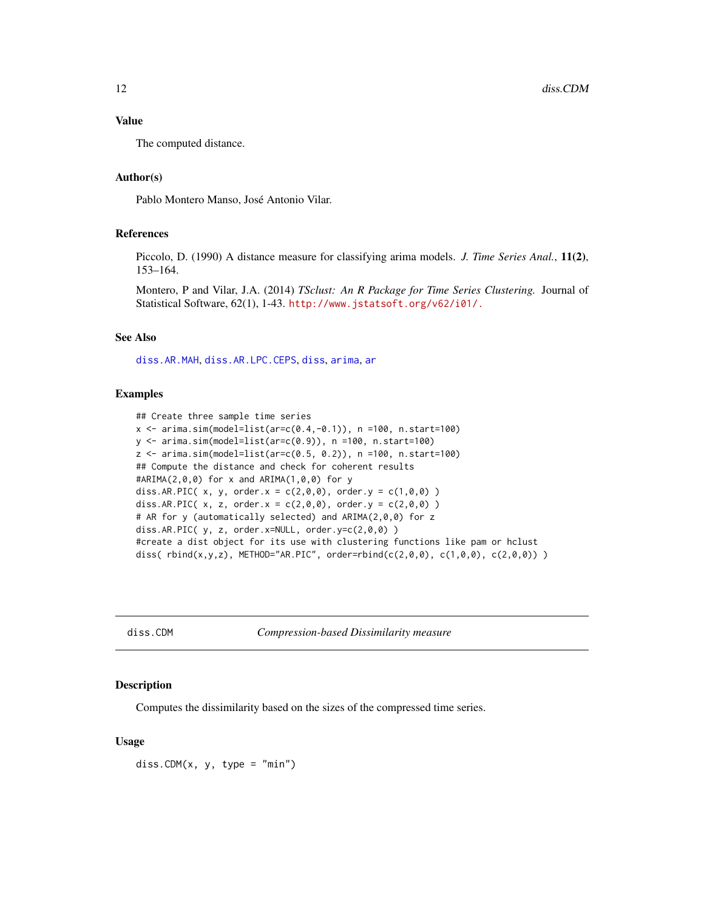# <span id="page-11-0"></span>Value

The computed distance.

# Author(s)

Pablo Montero Manso, José Antonio Vilar.

# References

Piccolo, D. (1990) A distance measure for classifying arima models. *J. Time Series Anal.*, 11(2), 153–164.

Montero, P and Vilar, J.A. (2014) *TSclust: An R Package for Time Series Clustering.* Journal of Statistical Software, 62(1), 1-43. <http://www.jstatsoft.org/v62/i01/.>

## See Also

[diss.AR.MAH](#page-8-1), [diss.AR.LPC.CEPS](#page-7-1), [diss](#page-3-1), [arima](#page-0-0), [ar](#page-0-0)

## Examples

```
## Create three sample time series
x < - arima.sim(model=list(ar=c(0.4,-0.1)), n =100, n.start=100)
y <- arima.sim(model=list(ar=c(0.9)), n =100, n.start=100)
z <- arima.sim(model=list(ar=c(0.5, 0.2)), n =100, n.start=100)
## Compute the distance and check for coherent results
#ARIMA(2,0,0) for x and ARIMA(1,0,0) for y
diss.AR.PIC(x, y, \text{ order.} x = c(2, \emptyset, \emptyset), \text{ order.} y = c(1, \emptyset, \emptyset))
diss.AR.PIC( x, z, order.x = c(2,0,0), order.y = c(2,0,0))
# AR for y (automatically selected) and ARIMA(2,0,0) for z
diss.AR.PIC( y, z, order.x=NULL, order.y=c(2,0,0) )
#create a dist object for its use with clustering functions like pam or hclust
diss( rbind(x,y,z), METHOD="AR.PIC", order=rbind(c(2,0,0), c(1,0,0), c(2,0,0)) )
```
<span id="page-11-1"></span>diss.CDM *Compression-based Dissimilarity measure*

#### Description

Computes the dissimilarity based on the sizes of the compressed time series.

## Usage

diss.CDM $(x, y, type = "min")$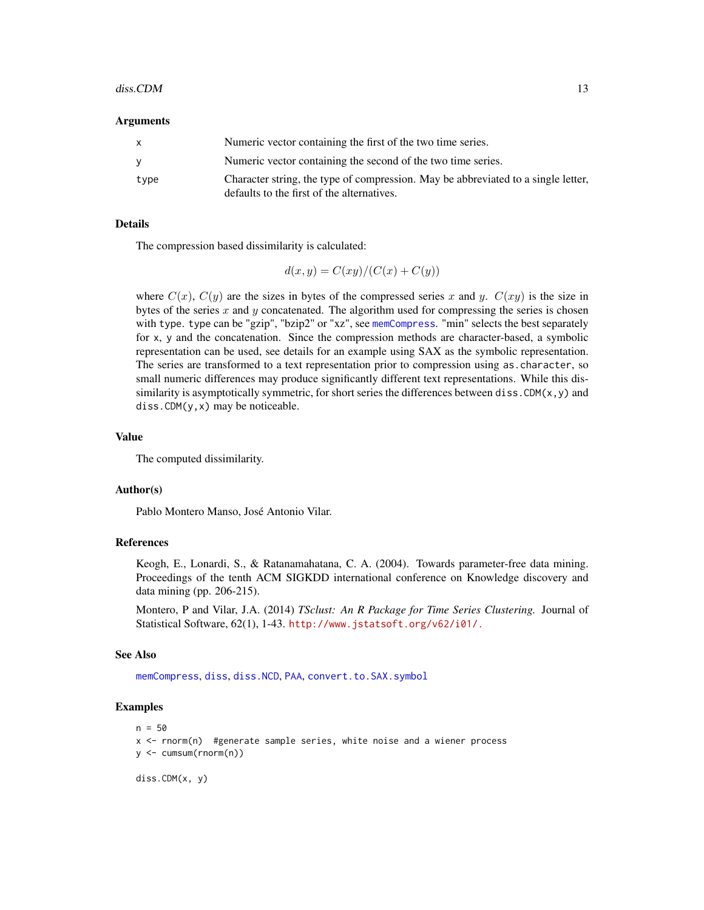#### <span id="page-12-0"></span> $diss.CDM$  13

#### Arguments

| $\mathsf{X}$ | Numeric vector containing the first of the two time series.                                                                     |
|--------------|---------------------------------------------------------------------------------------------------------------------------------|
| <b>V</b>     | Numeric vector containing the second of the two time series.                                                                    |
| type         | Character string, the type of compression. May be abbreviated to a single letter,<br>defaults to the first of the alternatives. |

## Details

The compression based dissimilarity is calculated:

$$
d(x, y) = C(xy)/(C(x) + C(y))
$$

where  $C(x)$ ,  $C(y)$  are the sizes in bytes of the compressed series x and y.  $C(xy)$  is the size in bytes of the series  $x$  and  $y$  concatenated. The algorithm used for compressing the series is chosen with type. type can be "gzip", "bzip2" or "xz", see [memCompress](#page-0-0). "min" selects the best separately for x, y and the concatenation. Since the compression methods are character-based, a symbolic representation can be used, see details for an example using SAX as the symbolic representation. The series are transformed to a text representation prior to compression using as.character, so small numeric differences may produce significantly different text representations. While this dissimilarity is asymptotically symmetric, for short series the differences between diss. CDM( $x, y$ ) and  $diss.CDM(y, x)$  may be noticeable.

# Value

The computed dissimilarity.

#### Author(s)

Pablo Montero Manso, José Antonio Vilar.

#### References

Keogh, E., Lonardi, S., & Ratanamahatana, C. A. (2004). Towards parameter-free data mining. Proceedings of the tenth ACM SIGKDD international conference on Knowledge discovery and data mining (pp. 206-215).

Montero, P and Vilar, J.A. (2014) *TSclust: An R Package for Time Series Clustering.* Journal of Statistical Software, 62(1), 1-43. <http://www.jstatsoft.org/v62/i01/.>

#### See Also

[memCompress](#page-0-0), [diss](#page-3-1), [diss.NCD](#page-24-1), [PAA](#page-22-2), [convert.to.SAX.symbol](#page-22-2)

# Examples

```
n = 50x <- rnorm(n) #generate sample series, white noise and a wiener process
y <- cumsum(rnorm(n))
```
diss.CDM(x, y)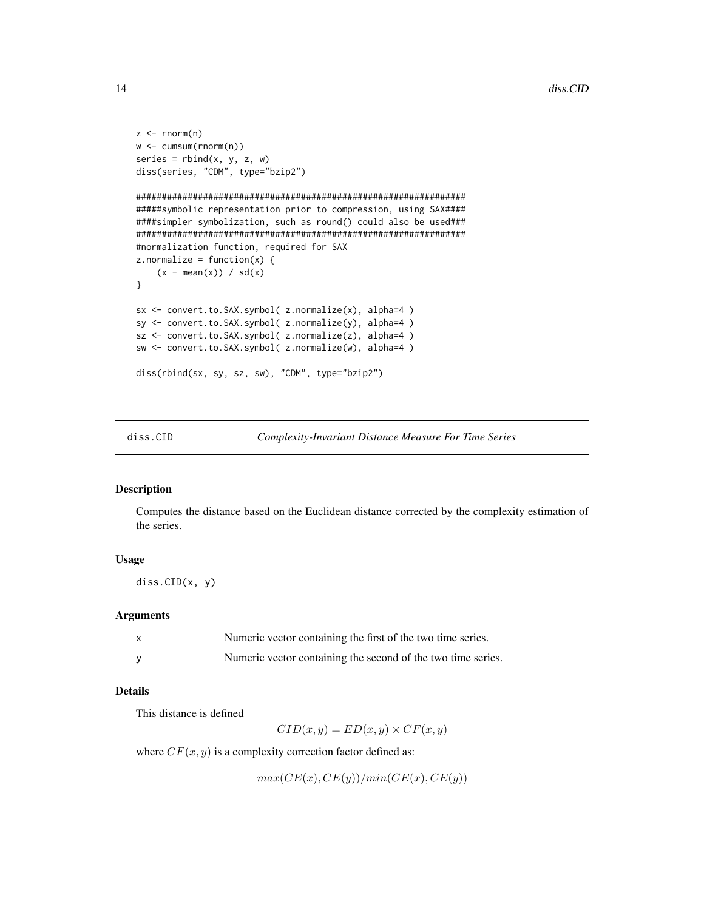```
z \leq -rnorm(n)w <- cumsum(rnorm(n))
series = rbind(x, y, z, w)diss(series, "CDM", type="bzip2")
################################################################
#####symbolic representation prior to compression, using SAX####
####simpler symbolization, such as round() could also be used###
################################################################
#normalization function, required for SAX
z.normalize = function(x) {
    (x - \text{mean}(x)) / \text{sd}(x)}
sx <- convert.to.SAX.symbol( z.normalize(x), alpha=4 )
sy <- convert.to.SAX.symbol( z.normalize(y), alpha=4 )
sz <- convert.to.SAX.symbol( z.normalize(z), alpha=4 )
sw <- convert.to.SAX.symbol( z.normalize(w), alpha=4 )
diss(rbind(sx, sy, sz, sw), "CDM", type="bzip2")
```
<span id="page-13-1"></span>

diss.CID *Complexity-Invariant Distance Measure For Time Series*

#### Description

Computes the distance based on the Euclidean distance corrected by the complexity estimation of the series.

# Usage

diss.CID(x, y)

#### Arguments

| Numeric vector containing the first of the two time series.  |
|--------------------------------------------------------------|
| Numeric vector containing the second of the two time series. |

# Details

This distance is defined

 $CID(x, y) = ED(x, y) \times CF(x, y)$ 

where  $CF(x, y)$  is a complexity correction factor defined as:

 $max(CE(x), CE(y))/min(CE(x), CE(y))$ 

<span id="page-13-0"></span>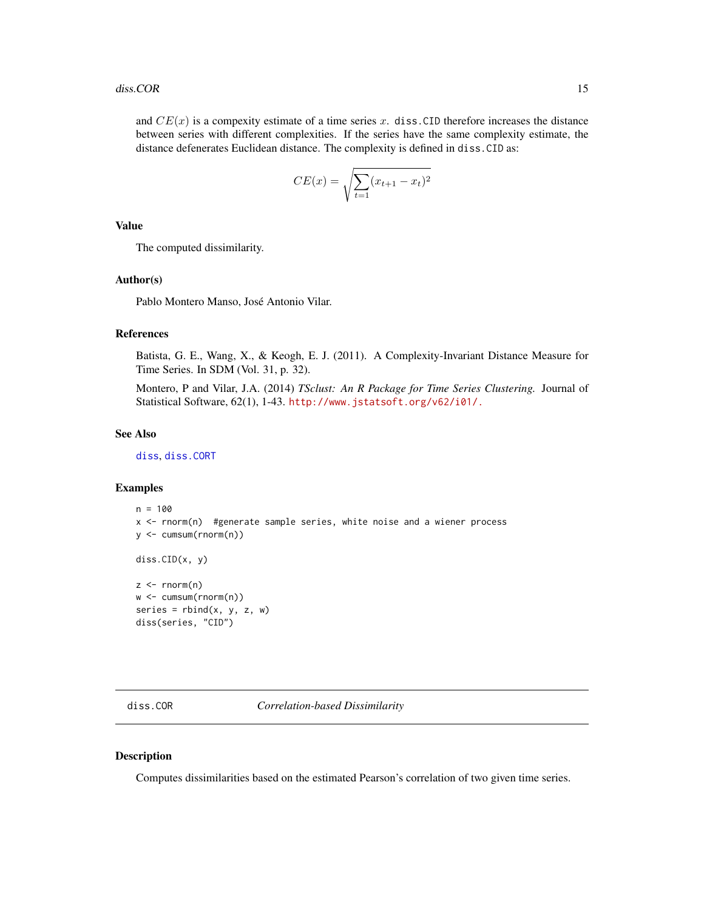<span id="page-14-0"></span>and  $CE(x)$  is a compexity estimate of a time series x. diss.CID therefore increases the distance between series with different complexities. If the series have the same complexity estimate, the distance defenerates Euclidean distance. The complexity is defined in diss.CID as:

$$
CE(x) = \sqrt{\sum_{t=1} (x_{t+1} - x_t)^2}
$$

Value

The computed dissimilarity.

# Author(s)

Pablo Montero Manso, José Antonio Vilar.

# References

Batista, G. E., Wang, X., & Keogh, E. J. (2011). A Complexity-Invariant Distance Measure for Time Series. In SDM (Vol. 31, p. 32).

Montero, P and Vilar, J.A. (2014) *TSclust: An R Package for Time Series Clustering.* Journal of Statistical Software, 62(1), 1-43. <http://www.jstatsoft.org/v62/i01/.>

#### See Also

[diss](#page-3-1), [diss.CORT](#page-16-1)

#### Examples

```
n = 100x <- rnorm(n) #generate sample series, white noise and a wiener process
y <- cumsum(rnorm(n))
diss.CID(x, y)
z \le- rnorm(n)w <- cumsum(rnorm(n))
series = rbind(x, y, z, w)diss(series, "CID")
```
<span id="page-14-1"></span>diss.COR *Correlation-based Dissimilarity*

# Description

Computes dissimilarities based on the estimated Pearson's correlation of two given time series.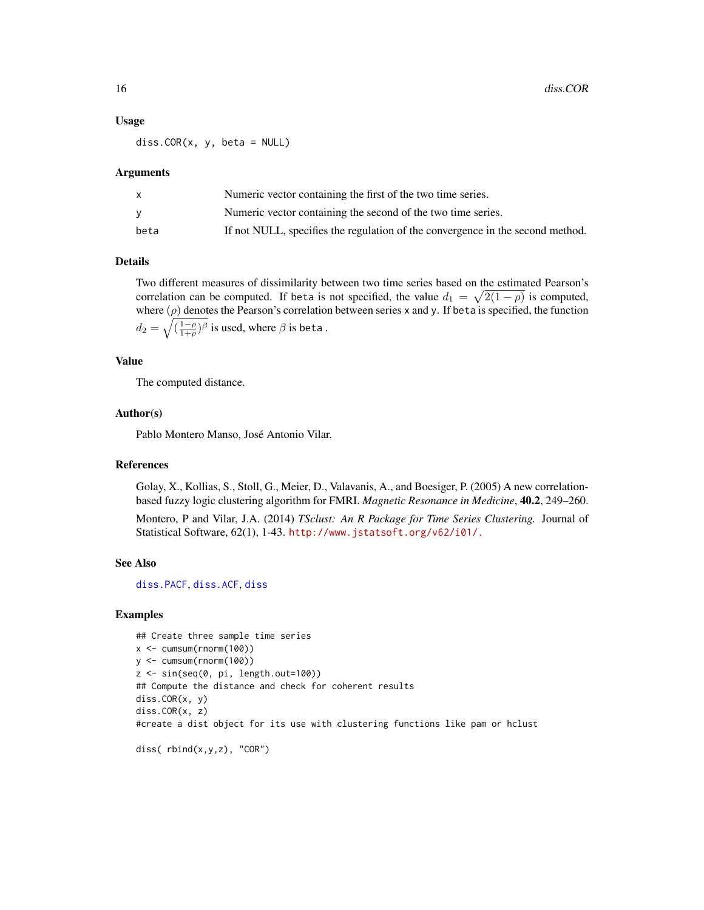#### Usage

 $diss.COR(x, y, beta = NULL)$ 

#### Arguments

|      | Numeric vector containing the first of the two time series.                    |
|------|--------------------------------------------------------------------------------|
|      | Numeric vector containing the second of the two time series.                   |
| beta | If not NULL, specifies the regulation of the convergence in the second method. |

# Details

Two different measures of dissimilarity between two time series based on the estimated Pearson's correlation can be computed. If beta is not specified, the value  $d_1 = \sqrt{2(1-\rho)}$  is computed, where  $(\rho)$  denotes the Pearson's correlation between series x and y. If beta is specified, the function  $d_2=\sqrt{(\frac{1-\rho}{1+\rho})^{\beta}}$  is used, where  $\beta$  is beta .

## Value

The computed distance.

## Author(s)

Pablo Montero Manso, José Antonio Vilar.

# References

Golay, X., Kollias, S., Stoll, G., Meier, D., Valavanis, A., and Boesiger, P. (2005) A new correlationbased fuzzy logic clustering algorithm for FMRI. *Magnetic Resonance in Medicine*, 40.2, 249–260.

Montero, P and Vilar, J.A. (2014) *TSclust: An R Package for Time Series Clustering.* Journal of Statistical Software, 62(1), 1-43. <http://www.jstatsoft.org/v62/i01/.>

# See Also

[diss.PACF](#page-5-2), [diss.ACF](#page-5-1), [diss](#page-3-1)

# Examples

```
## Create three sample time series
x < -cumsum(rnorm(100))
y <- cumsum(rnorm(100))
z \leq \sin(\sec(\theta, \pi), \text{length.out}=100)## Compute the distance and check for coherent results
diss.COR(x, y)
diss.COR(x, z)
#create a dist object for its use with clustering functions like pam or hclust
```

```
diss( rbind(x,y,z), "COR")
```
<span id="page-15-0"></span>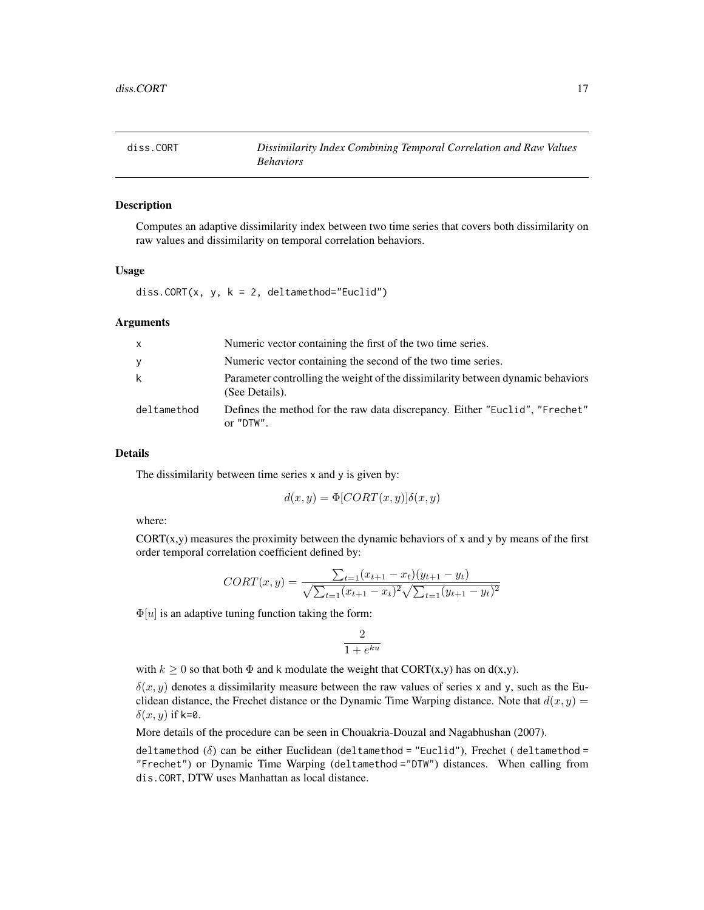<span id="page-16-1"></span><span id="page-16-0"></span>

#### Description

Computes an adaptive dissimilarity index between two time series that covers both dissimilarity on raw values and dissimilarity on temporal correlation behaviors.

# Usage

diss.CORT $(x, y, k = 2,$  deltamethod="Euclid")

# Arguments

| $\mathsf{x}$ | Numeric vector containing the first of the two time series.                                       |
|--------------|---------------------------------------------------------------------------------------------------|
| y            | Numeric vector containing the second of the two time series.                                      |
| k            | Parameter controlling the weight of the dissimilarity between dynamic behaviors<br>(See Details). |
| deltamethod  | Defines the method for the raw data discrepancy. Either "Euclid", "Frechet"<br>or "DTW".          |

#### Details

The dissimilarity between time series x and y is given by:

$$
d(x, y) = \Phi[CORT(x, y)]\delta(x, y)
$$

where:

 $CORT(x,y)$  measures the proximity between the dynamic behaviors of x and y by means of the first order temporal correlation coefficient defined by:

$$
CORT(x,y) = \frac{\sum_{t=1}(x_{t+1} - x_t)(y_{t+1} - y_t)}{\sqrt{\sum_{t=1}(x_{t+1} - x_t)^2} \sqrt{\sum_{t=1}(y_{t+1} - y_t)^2}}
$$

 $\Phi[u]$  is an adaptive tuning function taking the form:

$$
\frac{2}{1 + e^{ku}}
$$

with  $k \ge 0$  so that both  $\Phi$  and k modulate the weight that CORT(x,y) has on d(x,y).

 $\delta(x, y)$  denotes a dissimilarity measure between the raw values of series x and y, such as the Euclidean distance, the Frechet distance or the Dynamic Time Warping distance. Note that  $d(x, y) =$  $\delta(x, y)$  if k=0.

More details of the procedure can be seen in Chouakria-Douzal and Nagabhushan (2007).

deltamethod  $(\delta)$  can be either Euclidean (deltamethod = "Euclid"), Frechet (deltamethod = "Frechet") or Dynamic Time Warping (deltamethod ="DTW") distances. When calling from dis.CORT, DTW uses Manhattan as local distance.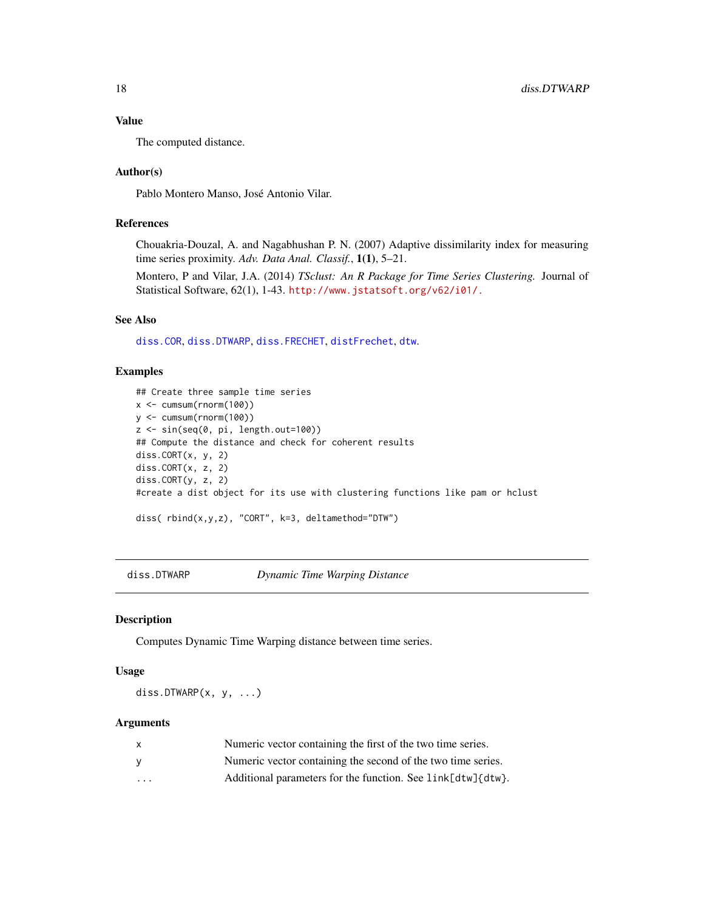# <span id="page-17-0"></span>Value

The computed distance.

# Author(s)

Pablo Montero Manso, José Antonio Vilar.

# References

Chouakria-Douzal, A. and Nagabhushan P. N. (2007) Adaptive dissimilarity index for measuring time series proximity. *Adv. Data Anal. Classif.*, 1(1), 5–21.

Montero, P and Vilar, J.A. (2014) *TSclust: An R Package for Time Series Clustering.* Journal of Statistical Software, 62(1), 1-43. <http://www.jstatsoft.org/v62/i01/.>

# See Also

[diss.COR](#page-14-1), [diss.DTWARP](#page-17-1), [diss.FRECHET](#page-20-1), [distFrechet](#page-0-0), [dtw](#page-0-0).

# Examples

```
## Create three sample time series
x <- cumsum(rnorm(100))
y <- cumsum(rnorm(100))
z <- sin(seq(0, pi, length.out=100))
## Compute the distance and check for coherent results
diss.CORT(x, y, 2)
diss.CORT(x, z, 2)
diss.CORT(y, z, 2)
#create a dist object for its use with clustering functions like pam or hclust
diss( rbind(x,y,z), "CORT", k=3, deltamethod="DTW")
```
<span id="page-17-1"></span>diss.DTWARP *Dynamic Time Warping Distance*

# Description

Computes Dynamic Time Warping distance between time series.

#### Usage

diss.DTWARP $(x, y, ...)$ 

# **Arguments**

|                      | Numeric vector containing the first of the two time series.  |
|----------------------|--------------------------------------------------------------|
|                      | Numeric vector containing the second of the two time series. |
| $\ddot{\phantom{0}}$ | Additional parameters for the function. See link[dtw]{dtw}.  |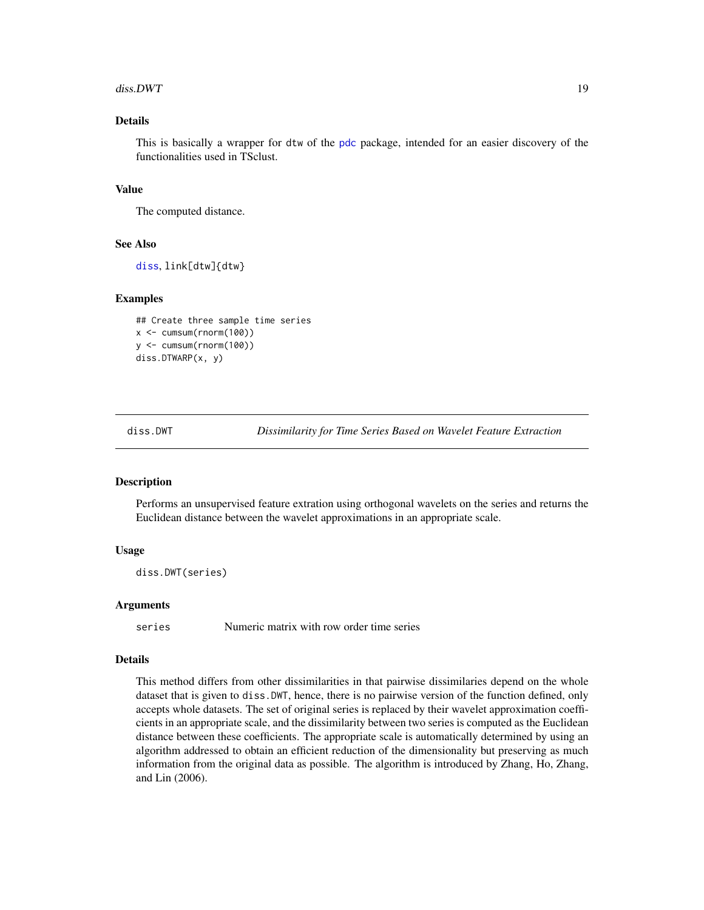#### <span id="page-18-0"></span> $diss.DWT$  19

# Details

This is basically a wrapper for dtw of the [pdc](#page-0-0) package, intended for an easier discovery of the functionalities used in TSclust.

# Value

The computed distance.

## See Also

[diss](#page-3-1), link[dtw]{dtw}

# Examples

```
## Create three sample time series
x <- cumsum(rnorm(100))
y <- cumsum(rnorm(100))
diss.DTWARP(x, y)
```
<span id="page-18-1"></span>

diss.DWT *Dissimilarity for Time Series Based on Wavelet Feature Extraction*

# **Description**

Performs an unsupervised feature extration using orthogonal wavelets on the series and returns the Euclidean distance between the wavelet approximations in an appropriate scale.

# Usage

```
diss.DWT(series)
```
# Arguments

series Numeric matrix with row order time series

# Details

This method differs from other dissimilarities in that pairwise dissimilaries depend on the whole dataset that is given to diss.DWT, hence, there is no pairwise version of the function defined, only accepts whole datasets. The set of original series is replaced by their wavelet approximation coefficients in an appropriate scale, and the dissimilarity between two series is computed as the Euclidean distance between these coefficients. The appropriate scale is automatically determined by using an algorithm addressed to obtain an efficient reduction of the dimensionality but preserving as much information from the original data as possible. The algorithm is introduced by Zhang, Ho, Zhang, and Lin (2006).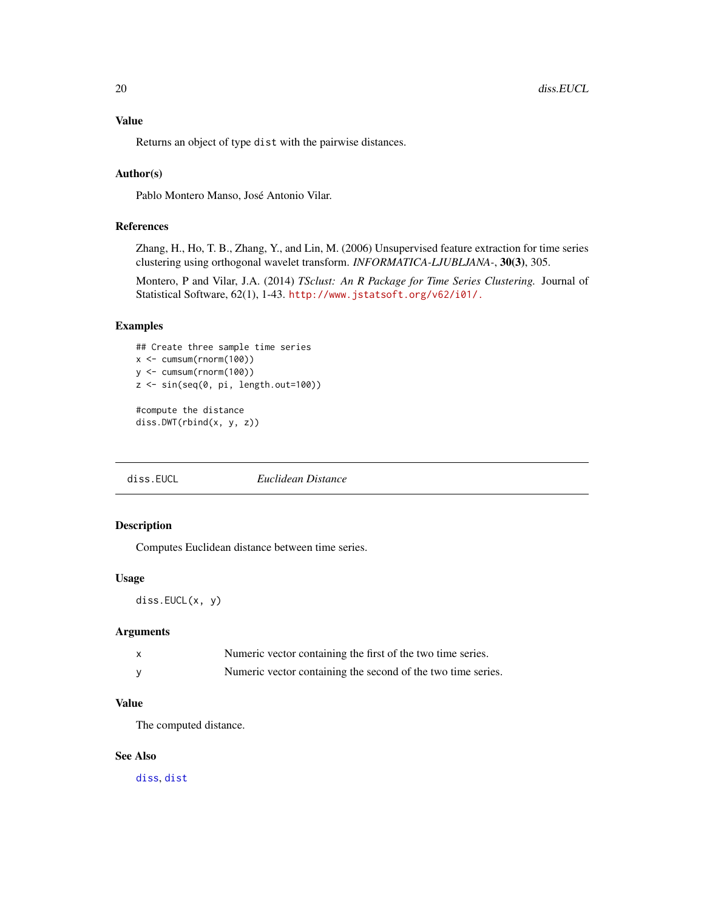# <span id="page-19-0"></span>Value

Returns an object of type dist with the pairwise distances.

# Author(s)

Pablo Montero Manso, José Antonio Vilar.

# References

Zhang, H., Ho, T. B., Zhang, Y., and Lin, M. (2006) Unsupervised feature extraction for time series clustering using orthogonal wavelet transform. *INFORMATICA-LJUBLJANA-*, 30(3), 305.

Montero, P and Vilar, J.A. (2014) *TSclust: An R Package for Time Series Clustering.* Journal of Statistical Software, 62(1), 1-43. <http://www.jstatsoft.org/v62/i01/.>

# Examples

```
## Create three sample time series
x <- cumsum(rnorm(100))
y <- cumsum(rnorm(100))
z <- sin(seq(0, pi, length.out=100))
```
#compute the distance diss.DWT(rbind(x, y, z))

<span id="page-19-1"></span>diss.EUCL *Euclidean Distance*

# Description

Computes Euclidean distance between time series.

# Usage

diss.EUCL(x, y)

# Arguments

| $\mathsf{x}$ | Numeric vector containing the first of the two time series.  |
|--------------|--------------------------------------------------------------|
|              | Numeric vector containing the second of the two time series. |

# Value

The computed distance.

# See Also

[diss](#page-3-1), [dist](#page-0-0)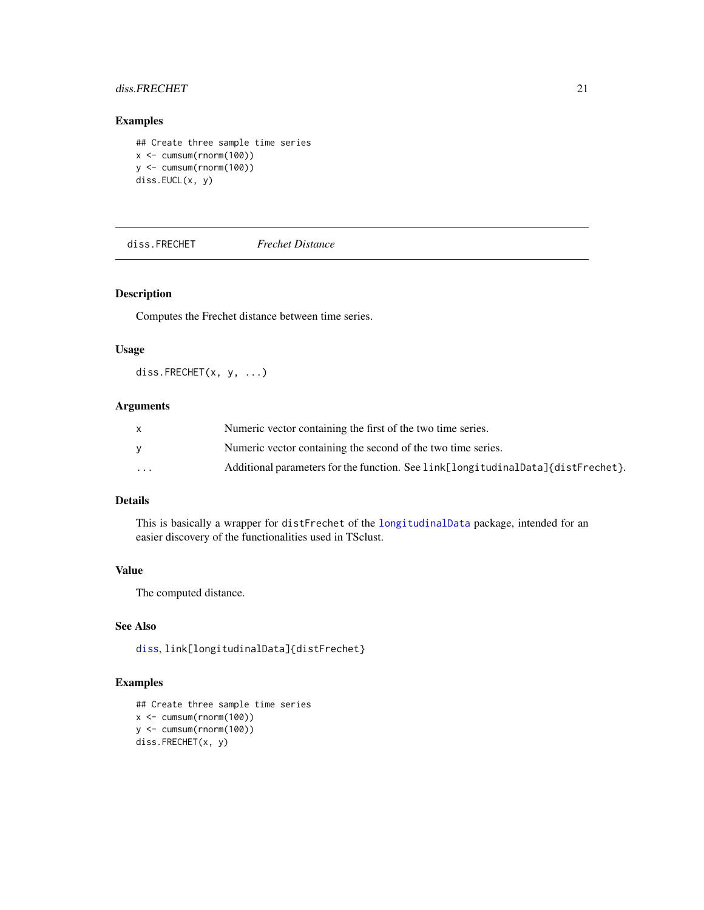# <span id="page-20-0"></span>diss.FRECHET 21

# Examples

```
## Create three sample time series
x \le cumsum(rnorm(100))
y <- cumsum(rnorm(100))
diss.EUCL(x, y)
```
<span id="page-20-1"></span>diss.FRECHET *Frechet Distance*

# Description

Computes the Frechet distance between time series.

# Usage

diss.FRECHET(x, y, ...)

# Arguments

|          | Numeric vector containing the first of the two time series.                      |
|----------|----------------------------------------------------------------------------------|
|          | Numeric vector containing the second of the two time series.                     |
| $\cdots$ | Additional parameters for the function. See link[longitudinalData]{distFrechet}. |

# Details

This is basically a wrapper for distFrechet of the [longitudinalData](#page-0-0) package, intended for an easier discovery of the functionalities used in TSclust.

# Value

The computed distance.

# See Also

[diss](#page-3-1), link[longitudinalData]{distFrechet}

# Examples

```
## Create three sample time series
x <- cumsum(rnorm(100))
y <- cumsum(rnorm(100))
diss.FRECHET(x, y)
```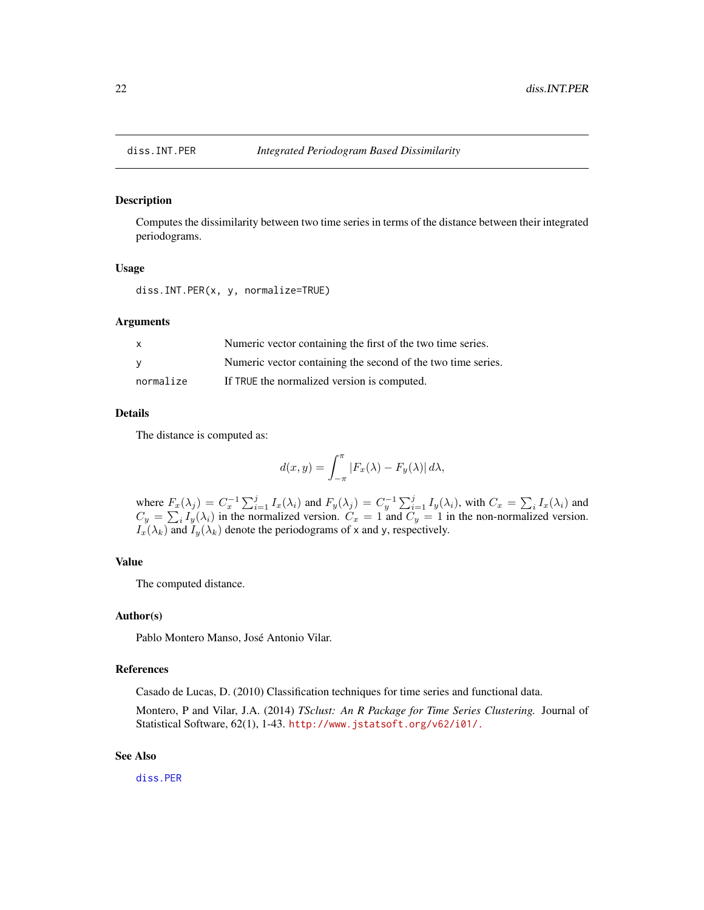<span id="page-21-1"></span><span id="page-21-0"></span>

# Description

Computes the dissimilarity between two time series in terms of the distance between their integrated periodograms.

#### Usage

diss.INT.PER(x, y, normalize=TRUE)

# Arguments

| X.        | Numeric vector containing the first of the two time series.  |
|-----------|--------------------------------------------------------------|
| - V       | Numeric vector containing the second of the two time series. |
| normalize | If TRUE the normalized version is computed.                  |

# Details

The distance is computed as:

$$
d(x,y) = \int_{-\pi}^{\pi} |F_x(\lambda) - F_y(\lambda)| d\lambda,
$$

where  $F_x(\lambda_j) = C_x^{-1} \sum_{i=1}^j I_x(\lambda_i)$  and  $F_y(\lambda_j) = C_y^{-1} \sum_{i=1}^j I_y(\lambda_i)$ , with  $C_x = \sum_i I_x(\lambda_i)$  and  $C_y = \sum_i I_y(\lambda_i)$  in the normalized version.  $C_x = 1$  and  $C_y = 1$  in the non-normalized version.  $I_x(\lambda_k)$  and  $I_y(\lambda_k)$  denote the periodograms of x and y, respectively.

# Value

The computed distance.

# Author(s)

Pablo Montero Manso, José Antonio Vilar.

#### References

Casado de Lucas, D. (2010) Classification techniques for time series and functional data.

Montero, P and Vilar, J.A. (2014) *TSclust: An R Package for Time Series Clustering.* Journal of Statistical Software, 62(1), 1-43. <http://www.jstatsoft.org/v62/i01/.>

## See Also

[diss.PER](#page-27-1)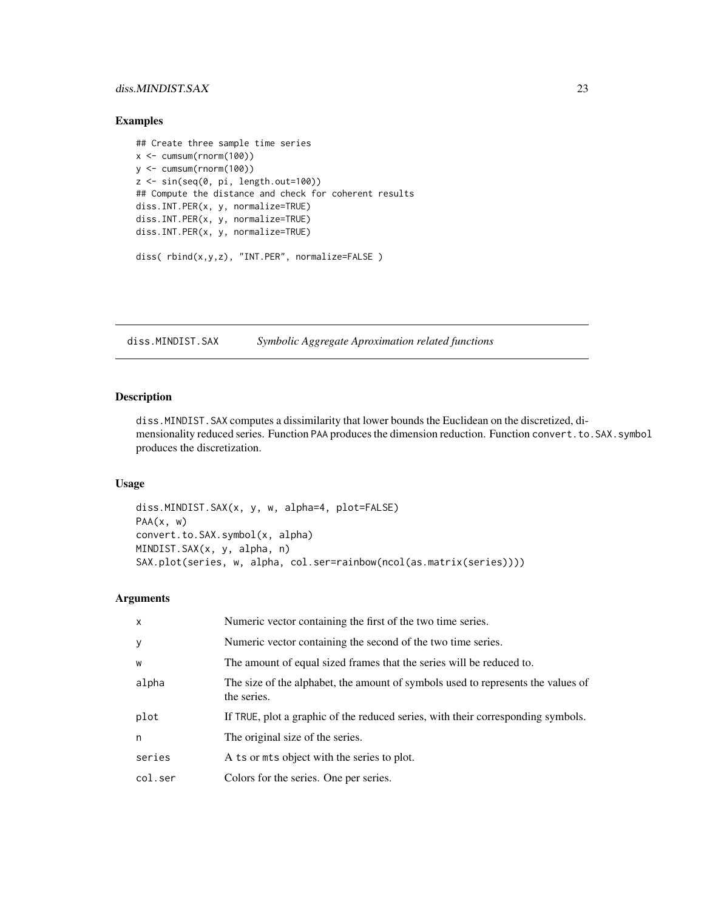# <span id="page-22-0"></span>diss.MINDIST.SAX 23

# Examples

```
## Create three sample time series
x \le cumsum(rnorm(100))
y <- cumsum(rnorm(100))
z \leq \sin(\sec(\theta, \pi), \text{length.out}=100)## Compute the distance and check for coherent results
diss.INT.PER(x, y, normalize=TRUE)
diss.INT.PER(x, y, normalize=TRUE)
diss.INT.PER(x, y, normalize=TRUE)
```

```
diss( rbind(x,y,z), "INT.PER", normalize=FALSE )
```
<span id="page-22-1"></span>diss.MINDIST.SAX *Symbolic Aggregate Aproximation related functions*

# <span id="page-22-2"></span>Description

diss.MINDIST.SAX computes a dissimilarity that lower bounds the Euclidean on the discretized, dimensionality reduced series. Function PAA produces the dimension reduction. Function convert.to.SAX.symbol produces the discretization.

## Usage

diss.MINDIST.SAX(x, y, w, alpha=4, plot=FALSE)  $PAA(x, w)$ convert.to.SAX.symbol(x, alpha) MINDIST.SAX(x, y, alpha, n) SAX.plot(series, w, alpha, col.ser=rainbow(ncol(as.matrix(series))))

## Arguments

| X       | Numeric vector containing the first of the two time series.                                     |
|---------|-------------------------------------------------------------------------------------------------|
| У       | Numeric vector containing the second of the two time series.                                    |
| W       | The amount of equal sized frames that the series will be reduced to.                            |
| alpha   | The size of the alphabet, the amount of symbols used to represents the values of<br>the series. |
| plot    | If TRUE, plot a graphic of the reduced series, with their corresponding symbols.                |
| n       | The original size of the series.                                                                |
| series  | A ts or mts object with the series to plot.                                                     |
| col.ser | Colors for the series. One per series.                                                          |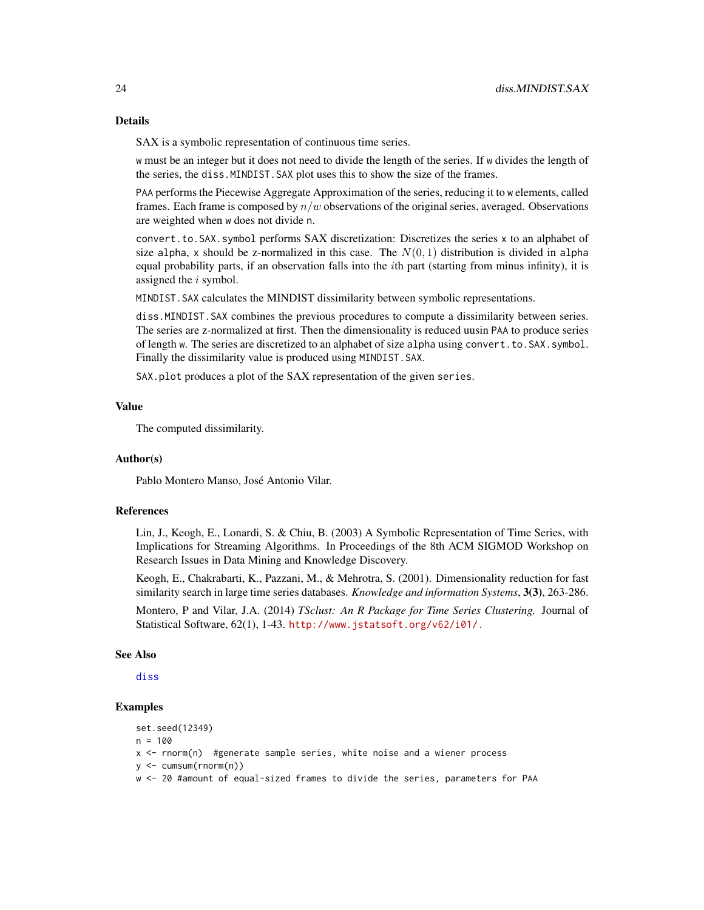SAX is a symbolic representation of continuous time series.

w must be an integer but it does not need to divide the length of the series. If w divides the length of the series, the diss.MINDIST.SAX plot uses this to show the size of the frames.

PAA performs the Piecewise Aggregate Approximation of the series, reducing it to w elements, called frames. Each frame is composed by  $n/w$  observations of the original series, averaged. Observations are weighted when w does not divide n.

convert.to.SAX.symbol performs SAX discretization: Discretizes the series x to an alphabet of size alpha, x should be z-normalized in this case. The  $N(0, 1)$  distribution is divided in alpha equal probability parts, if an observation falls into the ith part (starting from minus infinity), it is assigned the i symbol.

MINDIST.SAX calculates the MINDIST dissimilarity between symbolic representations.

diss.MINDIST.SAX combines the previous procedures to compute a dissimilarity between series. The series are z-normalized at first. Then the dimensionality is reduced uusin PAA to produce series of length w. The series are discretized to an alphabet of size alpha using convert.to.SAX.symbol. Finally the dissimilarity value is produced using MINDIST.SAX.

SAX.plot produces a plot of the SAX representation of the given series.

## Value

The computed dissimilarity.

#### Author(s)

Pablo Montero Manso, José Antonio Vilar.

# References

Lin, J., Keogh, E., Lonardi, S. & Chiu, B. (2003) A Symbolic Representation of Time Series, with Implications for Streaming Algorithms. In Proceedings of the 8th ACM SIGMOD Workshop on Research Issues in Data Mining and Knowledge Discovery.

Keogh, E., Chakrabarti, K., Pazzani, M., & Mehrotra, S. (2001). Dimensionality reduction for fast similarity search in large time series databases. *Knowledge and information Systems*, 3(3), 263-286.

Montero, P and Vilar, J.A. (2014) *TSclust: An R Package for Time Series Clustering.* Journal of Statistical Software, 62(1), 1-43. <http://www.jstatsoft.org/v62/i01/.>

#### See Also

[diss](#page-3-1)

# Examples

```
set.seed(12349)
n = 100x <- rnorm(n) #generate sample series, white noise and a wiener process
y <- cumsum(rnorm(n))
w <- 20 #amount of equal-sized frames to divide the series, parameters for PAA
```
<span id="page-23-0"></span>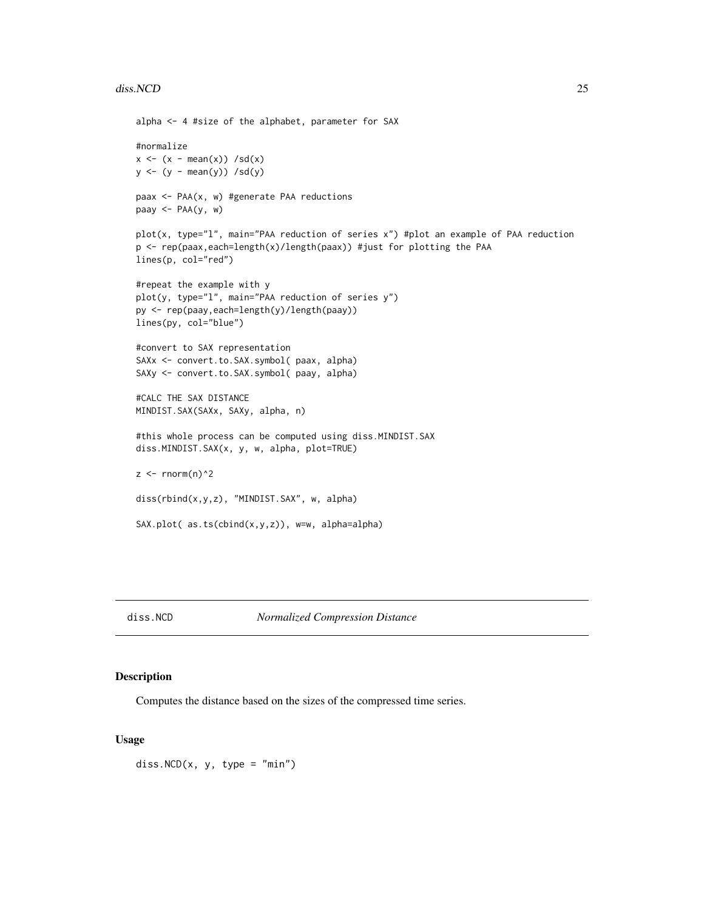#### <span id="page-24-0"></span>diss.NCD 25

```
alpha <- 4 #size of the alphabet, parameter for SAX
#normalize
x \leftarrow (x - \text{mean}(x)) / \text{sd}(x)y \leftarrow (y - \text{mean}(y)) / \text{sd}(y)paax <- PAA(x, w) #generate PAA reductions
paay <- PAA(y, w)
plot(x, type="l", main="PAA reduction of series x") #plot an example of PAA reduction
p <- rep(paax,each=length(x)/length(paax)) #just for plotting the PAA
lines(p, col="red")
#repeat the example with y
plot(y, type="l", main="PAA reduction of series y")
py <- rep(paay,each=length(y)/length(paay))
lines(py, col="blue")
#convert to SAX representation
SAXx <- convert.to.SAX.symbol( paax, alpha)
SAXy <- convert.to.SAX.symbol( paay, alpha)
#CALC THE SAX DISTANCE
MINDIST.SAX(SAXx, SAXy, alpha, n)
#this whole process can be computed using diss.MINDIST.SAX
diss.MINDIST.SAX(x, y, w, alpha, plot=TRUE)
z <- rnorm(n)^2
diss(rbind(x,y,z), "MINDIST.SAX", w, alpha)
SAX.plot( as.ts(cbind(x,y,z)), w=w, alpha=alpha)
```
<span id="page-24-1"></span>diss.NCD *Normalized Compression Distance*

# Description

Computes the distance based on the sizes of the compressed time series.

#### Usage

diss.  $NCD(x, y, type = "min")$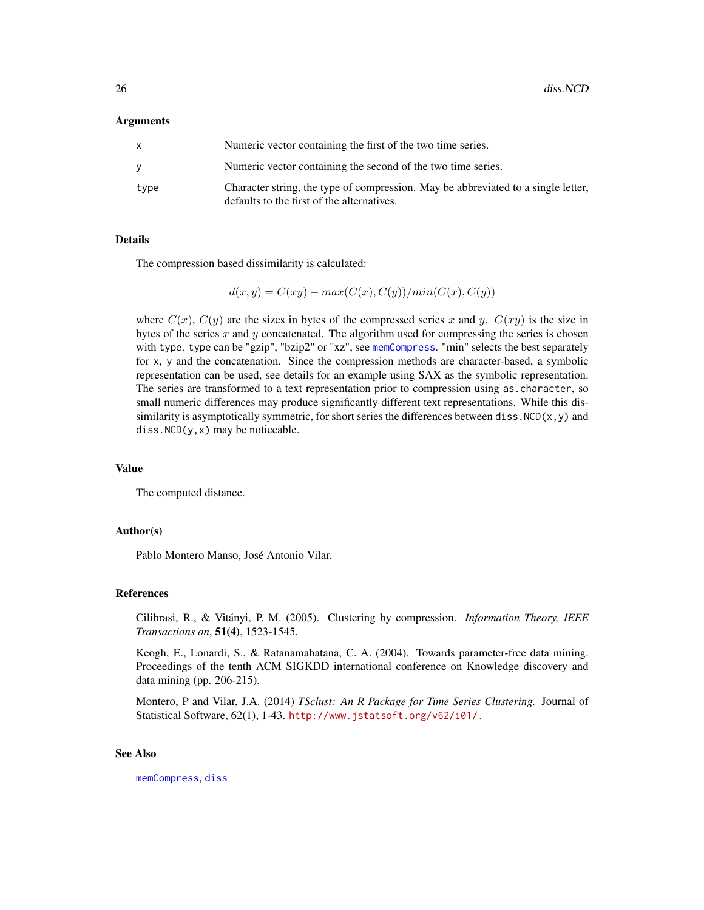# <span id="page-25-0"></span>Arguments

|      | Numeric vector containing the first of the two time series.                                                                     |
|------|---------------------------------------------------------------------------------------------------------------------------------|
|      | Numeric vector containing the second of the two time series.                                                                    |
| type | Character string, the type of compression. May be abbreviated to a single letter,<br>defaults to the first of the alternatives. |

#### Details

The compression based dissimilarity is calculated:

$$
d(x,y) = C(xy) - max(C(x), C(y)) / min(C(x), C(y))
$$

where  $C(x)$ ,  $C(y)$  are the sizes in bytes of the compressed series x and y.  $C(xy)$  is the size in bytes of the series  $x$  and  $y$  concatenated. The algorithm used for compressing the series is chosen with type. type can be "gzip", "bzip2" or "xz", see [memCompress](#page-0-0). "min" selects the best separately for x, y and the concatenation. Since the compression methods are character-based, a symbolic representation can be used, see details for an example using SAX as the symbolic representation. The series are transformed to a text representation prior to compression using as.character, so small numeric differences may produce significantly different text representations. While this dissimilarity is asymptotically symmetric, for short series the differences between diss.  $NCD(x, y)$  and diss.NCD(y,x) may be noticeable.

# Value

The computed distance.

# Author(s)

Pablo Montero Manso, José Antonio Vilar.

## References

Cilibrasi, R., & Vitányi, P. M. (2005). Clustering by compression. *Information Theory, IEEE Transactions on*, 51(4), 1523-1545.

Keogh, E., Lonardi, S., & Ratanamahatana, C. A. (2004). Towards parameter-free data mining. Proceedings of the tenth ACM SIGKDD international conference on Knowledge discovery and data mining (pp. 206-215).

Montero, P and Vilar, J.A. (2014) *TSclust: An R Package for Time Series Clustering.* Journal of Statistical Software, 62(1), 1-43. <http://www.jstatsoft.org/v62/i01/.>

## See Also

[memCompress](#page-0-0), [diss](#page-3-1)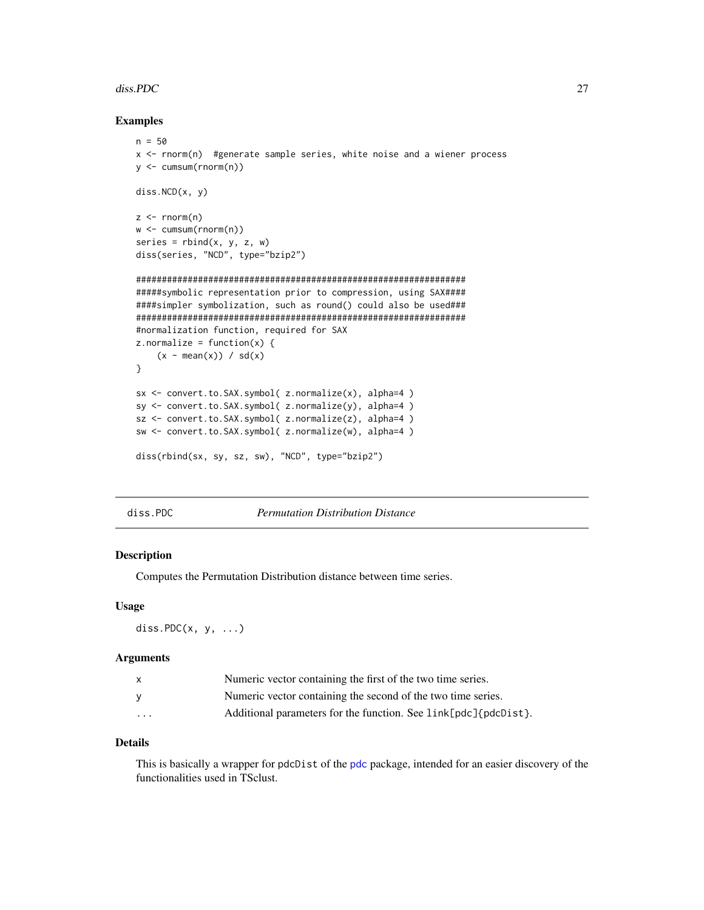#### <span id="page-26-0"></span>diss. PDC  $\hspace{1.5cm}$  27

# Examples

```
n = 50x <- rnorm(n) #generate sample series, white noise and a wiener process
y <- cumsum(rnorm(n))
diss.NCD(x, y)
z \le- rnorm(n)w <- cumsum(rnorm(n))
series = rbind(x, y, z, w)diss(series, "NCD", type="bzip2")
################################################################
#####symbolic representation prior to compression, using SAX####
####simpler symbolization, such as round() could also be used###
################################################################
#normalization function, required for SAX
z.normalize = function(x) {
    (x - \text{mean}(x)) / \text{sd}(x)}
sx <- convert.to.SAX.symbol( z.normalize(x), alpha=4 )
sy <- convert.to.SAX.symbol( z.normalize(y), alpha=4 )
sz <- convert.to.SAX.symbol( z.normalize(z), alpha=4 )
sw <- convert.to.SAX.symbol( z.normalize(w), alpha=4 )
diss(rbind(sx, sy, sz, sw), "NCD", type="bzip2")
```
diss.PDC *Permutation Distribution Distance*

## Description

Computes the Permutation Distribution distance between time series.

#### Usage

diss.PD $C(x, y, \ldots)$ 

#### Arguments

| X                       | Numeric vector containing the first of the two time series.     |
|-------------------------|-----------------------------------------------------------------|
|                         | Numeric vector containing the second of the two time series.    |
| $\cdot$ $\cdot$ $\cdot$ | Additional parameters for the function. See link[pdc]{pdcDist}. |

# Details

This is basically a wrapper for pdcDist of the [pdc](#page-0-0) package, intended for an easier discovery of the functionalities used in TSclust.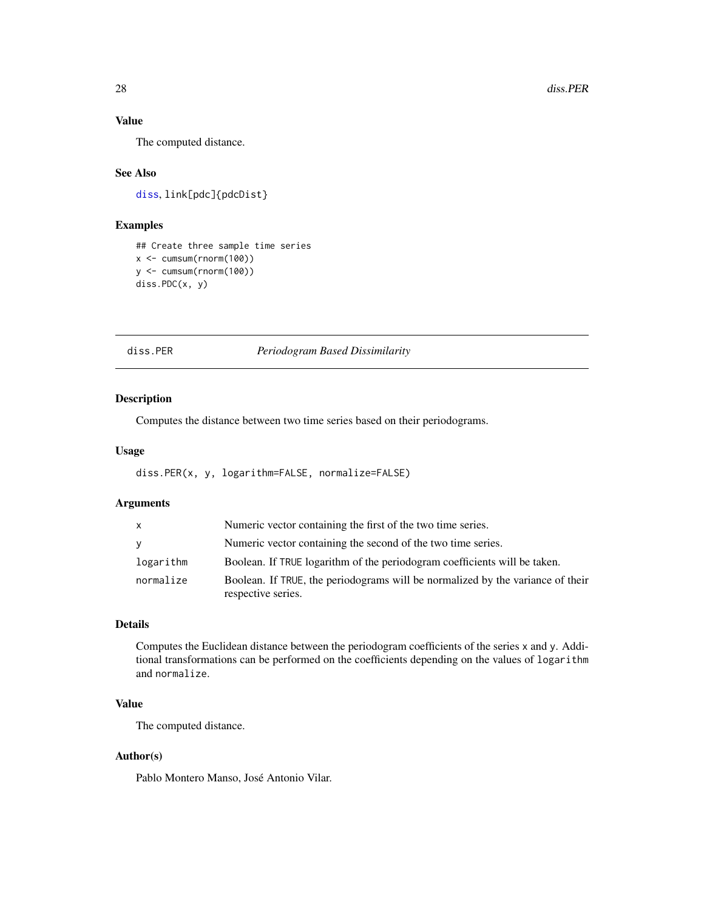# Value

The computed distance.

# See Also

[diss](#page-3-1), link[pdc]{pdcDist}

# Examples

```
## Create three sample time series
x <- cumsum(rnorm(100))
y <- cumsum(rnorm(100))
diss.PDC(x, y)
```
# <span id="page-27-1"></span>diss.PER *Periodogram Based Dissimilarity*

# Description

Computes the distance between two time series based on their periodograms.

## Usage

diss.PER(x, y, logarithm=FALSE, normalize=FALSE)

# Arguments

| $\mathsf{X}$ | Numeric vector containing the first of the two time series.                                          |
|--------------|------------------------------------------------------------------------------------------------------|
| <b>V</b>     | Numeric vector containing the second of the two time series.                                         |
| logarithm    | Boolean. If TRUE logarithm of the periodogram coefficients will be taken.                            |
| normalize    | Boolean. If TRUE, the periodograms will be normalized by the variance of their<br>respective series. |

# Details

Computes the Euclidean distance between the periodogram coefficients of the series x and y. Additional transformations can be performed on the coefficients depending on the values of logarithm and normalize.

# Value

The computed distance.

# Author(s)

Pablo Montero Manso, José Antonio Vilar.

<span id="page-27-0"></span>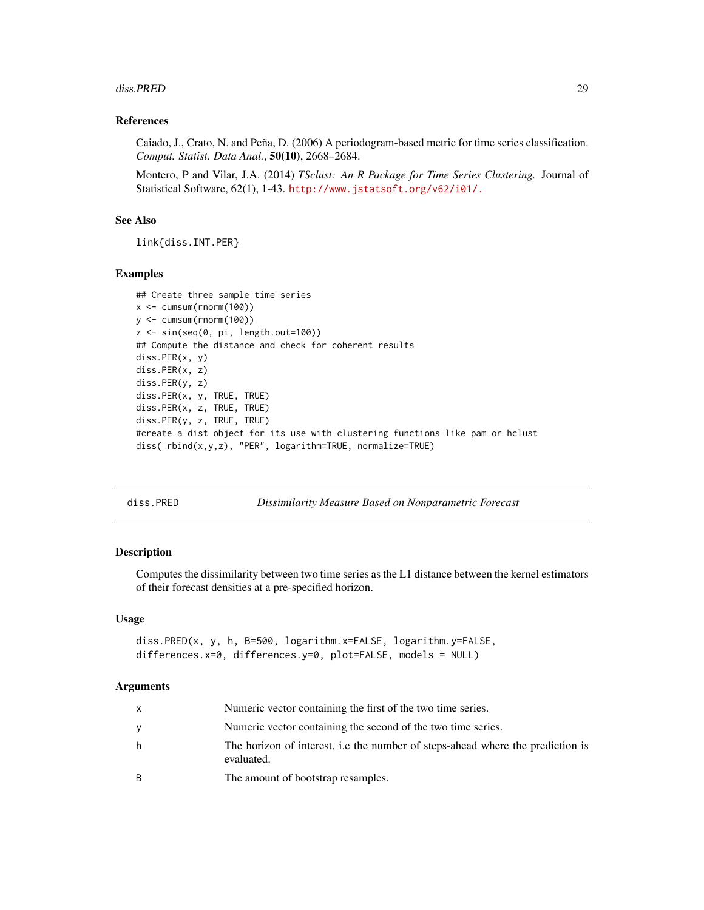#### <span id="page-28-0"></span>diss.PRED 29

# References

Caiado, J., Crato, N. and Peña, D. (2006) A periodogram-based metric for time series classification. *Comput. Statist. Data Anal.*, 50(10), 2668–2684.

Montero, P and Vilar, J.A. (2014) *TSclust: An R Package for Time Series Clustering.* Journal of Statistical Software, 62(1), 1-43. <http://www.jstatsoft.org/v62/i01/.>

# See Also

link{diss.INT.PER}

# Examples

```
## Create three sample time series
x \le cumsum(rnorm(100))
y <- cumsum(rnorm(100))
z \leq \sin(\sec(\theta, \pi), \text{length.out}=100)## Compute the distance and check for coherent results
diss.PER(x, y)
diss.PER(x, z)
diss.PER(y, z)
diss.PER(x, y, TRUE, TRUE)
diss.PER(x, z, TRUE, TRUE)
diss.PER(y, z, TRUE, TRUE)
#create a dist object for its use with clustering functions like pam or hclust
diss( rbind(x,y,z), "PER", logarithm=TRUE, normalize=TRUE)
```
<span id="page-28-1"></span>

diss.PRED *Dissimilarity Measure Based on Nonparametric Forecast*

## **Description**

Computes the dissimilarity between two time series as the L1 distance between the kernel estimators of their forecast densities at a pre-specified horizon.

# Usage

```
diss.PRED(x, y, h, B=500, logarithm.x=FALSE, logarithm.y=FALSE,
differences.x=0, differences.y=0, plot=FALSE, models = NULL)
```
#### Arguments

| X | Numeric vector containing the first of the two time series.                                  |
|---|----------------------------------------------------------------------------------------------|
| y | Numeric vector containing the second of the two time series.                                 |
| h | The horizon of interest, i.e the number of steps-ahead where the prediction is<br>evaluated. |
| B | The amount of bootstrap resamples.                                                           |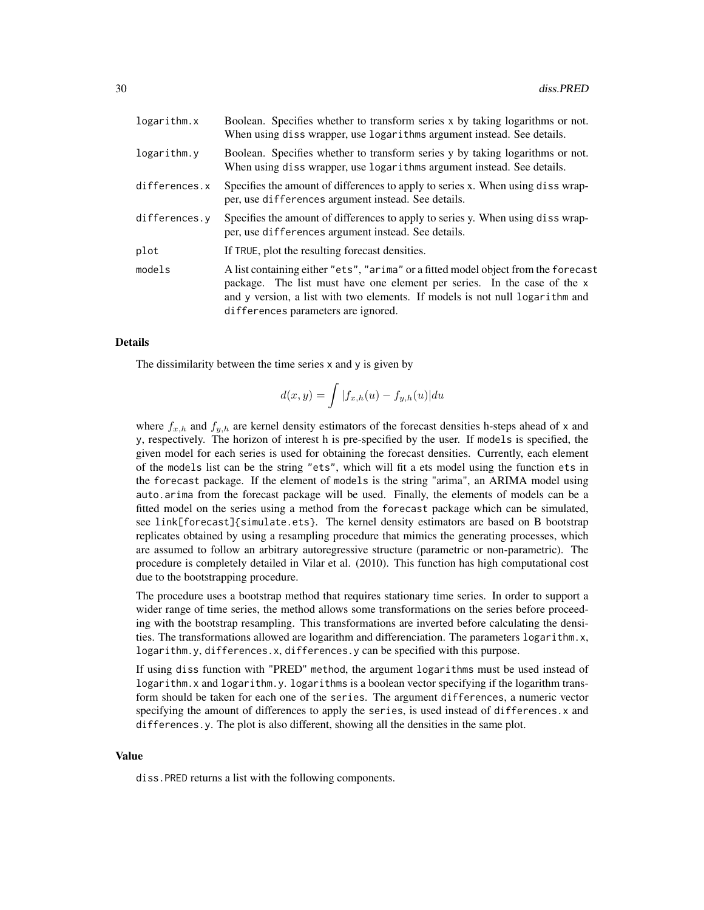| logarithm.x   | Boolean. Specifies whether to transform series x by taking logarithms or not.<br>When using diss wrapper, use logarithms argument instead. See details.                                                                                                                               |
|---------------|---------------------------------------------------------------------------------------------------------------------------------------------------------------------------------------------------------------------------------------------------------------------------------------|
| logarithm.y   | Boolean. Specifies whether to transform series y by taking logarithms or not.<br>When using diss wrapper, use logarithms argument instead. See details.                                                                                                                               |
| differences.x | Specifies the amount of differences to apply to series x. When using diss wrap-<br>per, use differences argument instead. See details.                                                                                                                                                |
| differences.y | Specifies the amount of differences to apply to series y. When using diss wrap-<br>per, use differences argument instead. See details.                                                                                                                                                |
| plot          | If TRUE, plot the resulting forecast densities.                                                                                                                                                                                                                                       |
| models        | A list containing either "ets", "arima" or a fitted model object from the forecast<br>package. The list must have one element per series. In the case of the x<br>and y version, a list with two elements. If models is not null logarithm and<br>differences parameters are ignored. |

#### Details

The dissimilarity between the time series x and y is given by

$$
d(x,y) = \int |f_{x,h}(u) - f_{y,h}(u)| du
$$

where  $f_{x,h}$  and  $f_{y,h}$  are kernel density estimators of the forecast densities h-steps ahead of x and y, respectively. The horizon of interest h is pre-specified by the user. If models is specified, the given model for each series is used for obtaining the forecast densities. Currently, each element of the models list can be the string "ets", which will fit a ets model using the function ets in the forecast package. If the element of models is the string "arima", an ARIMA model using auto.arima from the forecast package will be used. Finally, the elements of models can be a fitted model on the series using a method from the forecast package which can be simulated, see link[forecast]{simulate.ets}. The kernel density estimators are based on B bootstrap replicates obtained by using a resampling procedure that mimics the generating processes, which are assumed to follow an arbitrary autoregressive structure (parametric or non-parametric). The procedure is completely detailed in Vilar et al. (2010). This function has high computational cost due to the bootstrapping procedure.

The procedure uses a bootstrap method that requires stationary time series. In order to support a wider range of time series, the method allows some transformations on the series before proceeding with the bootstrap resampling. This transformations are inverted before calculating the densities. The transformations allowed are logarithm and differenciation. The parameters logarithm.x, logarithm.y, differences.x, differences.y can be specified with this purpose.

If using diss function with "PRED" method, the argument logarithms must be used instead of logarithm.x and logarithm.y. logarithms is a boolean vector specifying if the logarithm transform should be taken for each one of the series. The argument differences, a numeric vector specifying the amount of differences to apply the series, is used instead of differences. x and differences.y. The plot is also different, showing all the densities in the same plot.

## Value

diss.PRED returns a list with the following components.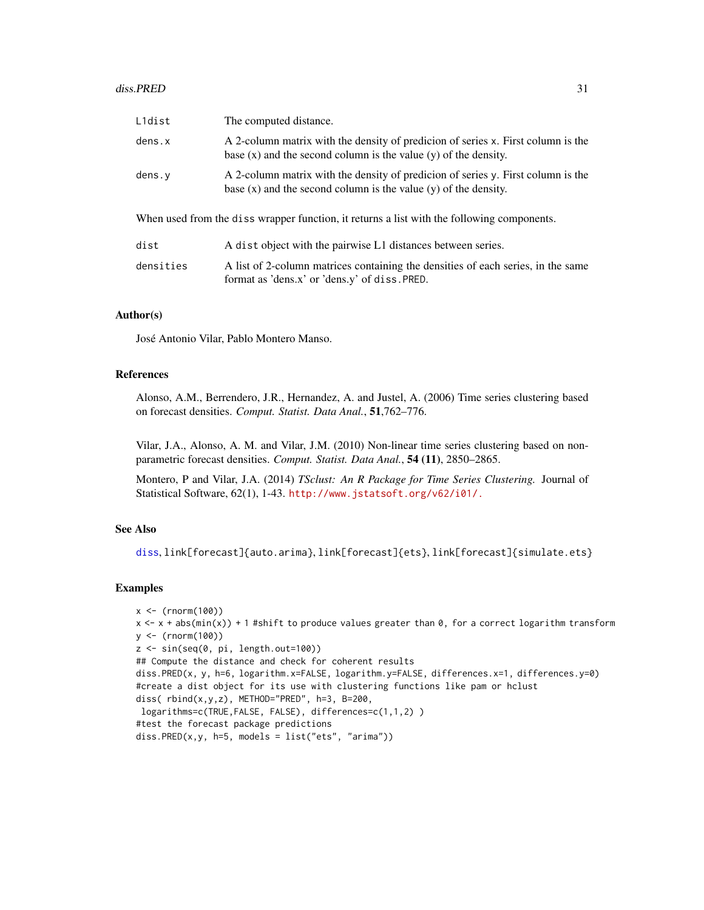<span id="page-30-0"></span>

| L1dist                                                                                     | The computed distance.                                                                                                                                  |  |  |  |
|--------------------------------------------------------------------------------------------|---------------------------------------------------------------------------------------------------------------------------------------------------------|--|--|--|
| dens.x                                                                                     | A 2-column matrix with the density of predicion of series x. First column is the<br>base $(x)$ and the second column is the value $(y)$ of the density. |  |  |  |
| dens. y                                                                                    | A 2-column matrix with the density of predicion of series y. First column is the<br>base $(x)$ and the second column is the value $(y)$ of the density. |  |  |  |
| When used from the diss wrapper function, it returns a list with the following components. |                                                                                                                                                         |  |  |  |
| dist                                                                                       | A dist object with the pairwise L1 distances between series.                                                                                            |  |  |  |
| densities                                                                                  | A list of 2-column matrices containing the densities of each series, in the same<br>format as 'dens.x' or 'dens.y' of diss. PRED.                       |  |  |  |

## Author(s)

José Antonio Vilar, Pablo Montero Manso.

# References

Alonso, A.M., Berrendero, J.R., Hernandez, A. and Justel, A. (2006) Time series clustering based on forecast densities. *Comput. Statist. Data Anal.*, 51,762–776.

Vilar, J.A., Alonso, A. M. and Vilar, J.M. (2010) Non-linear time series clustering based on nonparametric forecast densities. *Comput. Statist. Data Anal.*, 54 (11), 2850–2865.

Montero, P and Vilar, J.A. (2014) *TSclust: An R Package for Time Series Clustering.* Journal of Statistical Software, 62(1), 1-43. <http://www.jstatsoft.org/v62/i01/.>

# See Also

[diss](#page-3-1), link[forecast]{auto.arima}, link[forecast]{ets}, link[forecast]{simulate.ets}

# Examples

```
x < - (rnorm(100))
x \leq x + abs(min(x)) + 1 #shift to produce values greater than 0, for a correct logarithm transform
y <- (rnorm(100))
z \leq \sin(\sec(\theta, \pi), \text{length.out} = 100)## Compute the distance and check for coherent results
diss.PRED(x, y, h=6, logarithm.x=FALSE, logarithm.y=FALSE, differences.x=1, differences.y=0)
#create a dist object for its use with clustering functions like pam or hclust
diss( rbind(x,y,z), METHOD="PRED", h=3, B=200,
logarithms=c(TRUE,FALSE, FALSE), differences=c(1,1,2) )
#test the forecast package predictions
diss.PRED(x,y, h=5, models = list("ets", "arima"))
```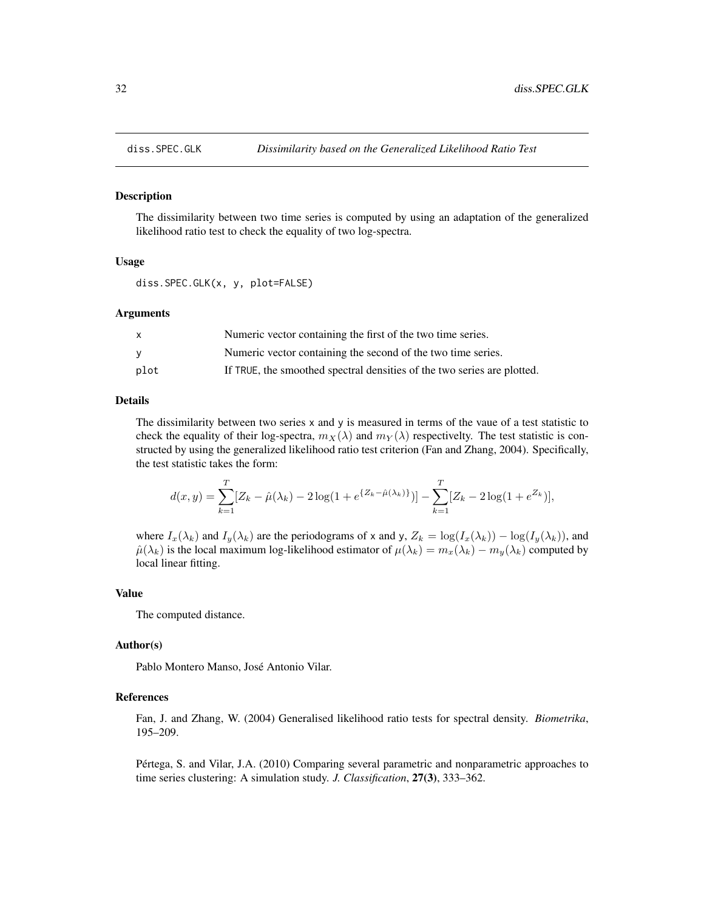<span id="page-31-1"></span><span id="page-31-0"></span>

## Description

The dissimilarity between two time series is computed by using an adaptation of the generalized likelihood ratio test to check the equality of two log-spectra.

# Usage

diss.SPEC.GLK(x, y, plot=FALSE)

#### Arguments

| $\mathsf{x}$ | Numeric vector containing the first of the two time series.             |
|--------------|-------------------------------------------------------------------------|
| <b>V</b>     | Numeric vector containing the second of the two time series.            |
| plot         | If TRUE, the smoothed spectral densities of the two series are plotted. |

# Details

The dissimilarity between two series x and y is measured in terms of the vaue of a test statistic to check the equality of their log-spectra,  $m_X(\lambda)$  and  $m_Y(\lambda)$  respectivelty. The test statistic is constructed by using the generalized likelihood ratio test criterion (Fan and Zhang, 2004). Specifically, the test statistic takes the form:

$$
d(x,y) = \sum_{k=1}^{T} [Z_k - \hat{\mu}(\lambda_k) - 2\log(1 + e^{\{Z_k - \hat{\mu}(\lambda_k)\}})] - \sum_{k=1}^{T} [Z_k - 2\log(1 + e^{Z_k})],
$$

where  $I_x(\lambda_k)$  and  $I_y(\lambda_k)$  are the periodograms of x and y,  $Z_k = \log(I_x(\lambda_k)) - \log(I_y(\lambda_k))$ , and  $\hat{\mu}(\lambda_k)$  is the local maximum log-likelihood estimator of  $\mu(\lambda_k) = m_x(\lambda_k) - m_y(\lambda_k)$  computed by local linear fitting.

#### Value

The computed distance.

#### Author(s)

Pablo Montero Manso, José Antonio Vilar.

#### References

Fan, J. and Zhang, W. (2004) Generalised likelihood ratio tests for spectral density. *Biometrika*, 195–209.

Pértega, S. and Vilar, J.A. (2010) Comparing several parametric and nonparametric approaches to time series clustering: A simulation study. *J. Classification*, 27(3), 333–362.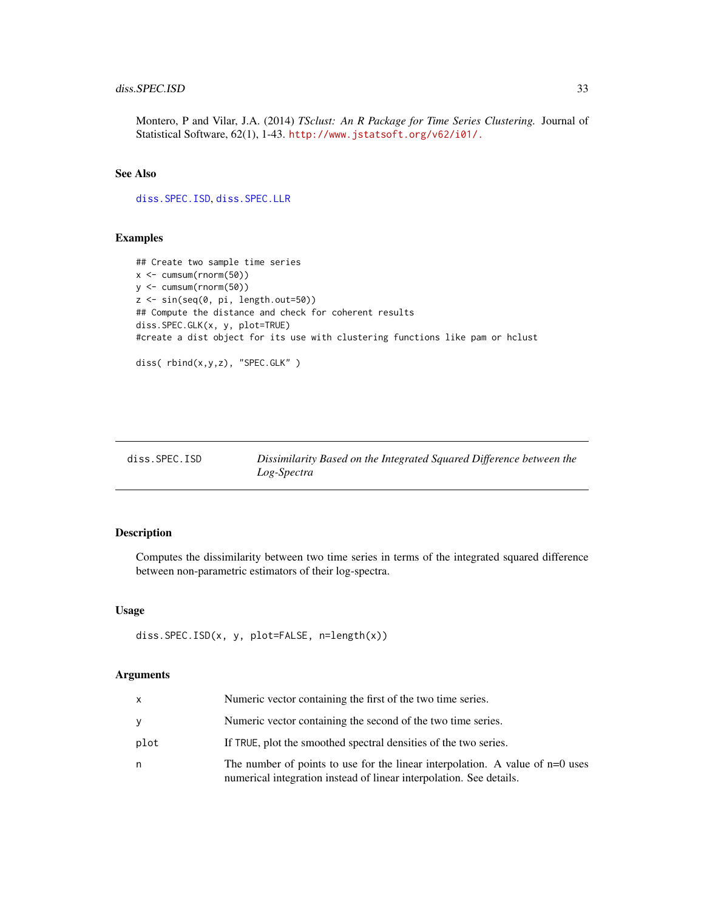# <span id="page-32-0"></span>diss.SPEC.ISD 33

Montero, P and Vilar, J.A. (2014) *TSclust: An R Package for Time Series Clustering.* Journal of Statistical Software, 62(1), 1-43. <http://www.jstatsoft.org/v62/i01/.>

# See Also

[diss.SPEC.ISD](#page-32-1), [diss.SPEC.LLR](#page-34-1)

#### Examples

```
## Create two sample time series
x <- cumsum(rnorm(50))
y <- cumsum(rnorm(50))
z <- sin(seq(0, pi, length.out=50))
## Compute the distance and check for coherent results
diss.SPEC.GLK(x, y, plot=TRUE)
#create a dist object for its use with clustering functions like pam or hclust
```

```
diss( rbind(x,y,z), "SPEC.GLK" )
```
<span id="page-32-1"></span>

| diss.SPEC.ISD | Dissimilarity Based on the Integrated Squared Difference between the |
|---------------|----------------------------------------------------------------------|
|               | Log-Spectra                                                          |

#### Description

Computes the dissimilarity between two time series in terms of the integrated squared difference between non-parametric estimators of their log-spectra.

## Usage

```
diss.SPEC.ISD(x, y, plot=FALSE, n=length(x))
```
#### Arguments

| x    | Numeric vector containing the first of the two time series.                                                                                            |
|------|--------------------------------------------------------------------------------------------------------------------------------------------------------|
|      | Numeric vector containing the second of the two time series.                                                                                           |
| plot | If TRUE, plot the smoothed spectral densities of the two series.                                                                                       |
| n    | The number of points to use for the linear interpolation. A value of $n=0$ uses<br>numerical integration instead of linear interpolation. See details. |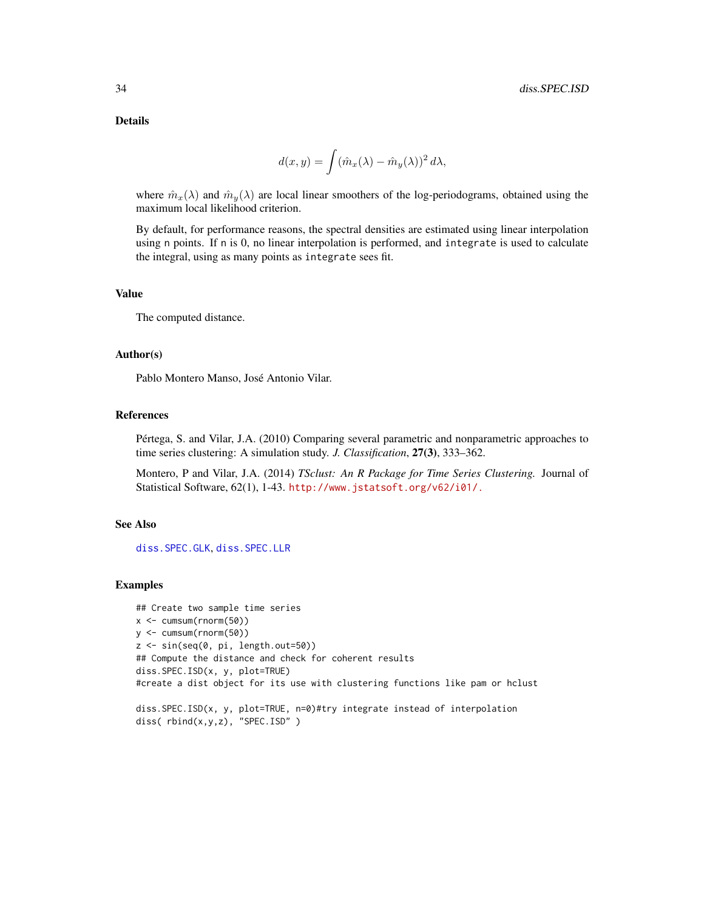<span id="page-33-0"></span>Details

$$
d(x,y) = \int (\hat{m}_x(\lambda) - \hat{m}_y(\lambda))^2 d\lambda,
$$

where  $\hat{m}_x(\lambda)$  and  $\hat{m}_y(\lambda)$  are local linear smoothers of the log-periodograms, obtained using the maximum local likelihood criterion.

By default, for performance reasons, the spectral densities are estimated using linear interpolation using n points. If n is 0, no linear interpolation is performed, and integrate is used to calculate the integral, using as many points as integrate sees fit.

#### Value

The computed distance.

## Author(s)

Pablo Montero Manso, José Antonio Vilar.

## References

Pértega, S. and Vilar, J.A. (2010) Comparing several parametric and nonparametric approaches to time series clustering: A simulation study. *J. Classification*, 27(3), 333–362.

Montero, P and Vilar, J.A. (2014) *TSclust: An R Package for Time Series Clustering.* Journal of Statistical Software, 62(1), 1-43. <http://www.jstatsoft.org/v62/i01/.>

## See Also

[diss.SPEC.GLK](#page-31-1), [diss.SPEC.LLR](#page-34-1)

## Examples

## Create two sample time series x <- cumsum(rnorm(50)) y <- cumsum(rnorm(50)) z <- sin(seq(0, pi, length.out=50)) ## Compute the distance and check for coherent results diss.SPEC.ISD(x, y, plot=TRUE) #create a dist object for its use with clustering functions like pam or hclust

```
diss.SPEC.ISD(x, y, plot=TRUE, n=0)#try integrate instead of interpolation
diss( rbind(x,y,z), "SPEC.ISD" )
```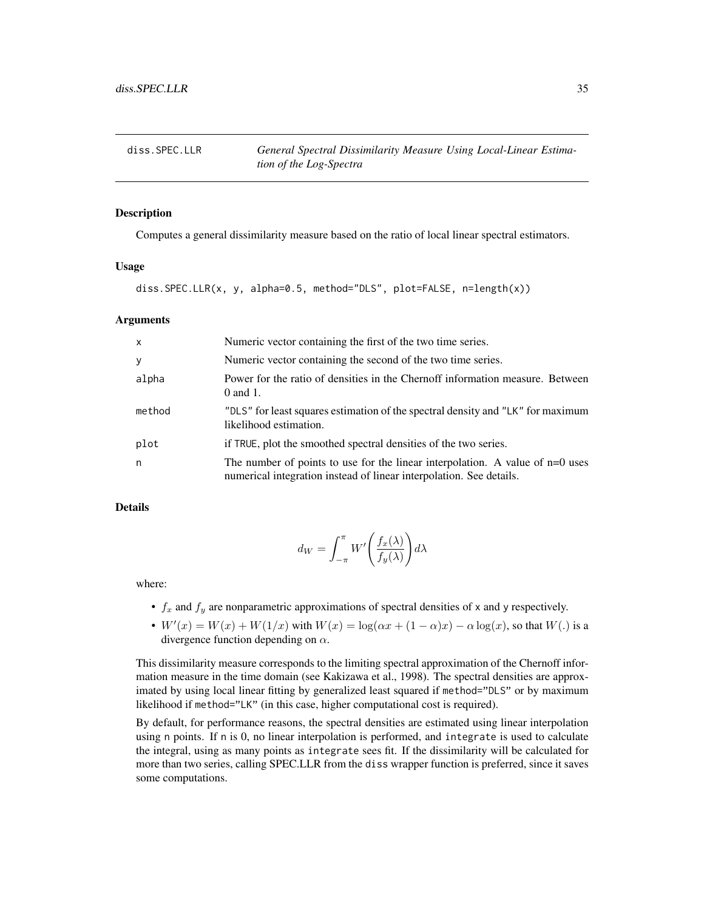<span id="page-34-1"></span><span id="page-34-0"></span>

## Description

Computes a general dissimilarity measure based on the ratio of local linear spectral estimators.

## Usage

diss.SPEC.LLR(x, y, alpha=0.5, method="DLS", plot=FALSE, n=length(x))

## Arguments

| $\mathsf{x}$ | Numeric vector containing the first of the two time series.                                                                                          |
|--------------|------------------------------------------------------------------------------------------------------------------------------------------------------|
| y            | Numeric vector containing the second of the two time series.                                                                                         |
| alpha        | Power for the ratio of densities in the Chernoff information measure. Between<br>0 and 1.                                                            |
| method       | "DLS" for least squares estimation of the spectral density and "LK" for maximum<br>likelihood estimation.                                            |
| plot         | if TRUE, plot the smoothed spectral densities of the two series.                                                                                     |
| n            | The number of points to use for the linear interpolation. A value of n=0 uses<br>numerical integration instead of linear interpolation. See details. |

# Details

$$
d_W = \int_{-\pi}^{\pi} W' \left( \frac{f_x(\lambda)}{f_y(\lambda)} \right) d\lambda
$$

where:

- $f_x$  and  $f_y$  are nonparametric approximations of spectral densities of x and y respectively.
- $W'(x) = W(x) + W(1/x)$  with  $W(x) = \log(\alpha x + (1 \alpha)x) \alpha \log(x)$ , so that  $W(.)$  is a divergence function depending on  $\alpha$ .

This dissimilarity measure corresponds to the limiting spectral approximation of the Chernoff information measure in the time domain (see Kakizawa et al., 1998). The spectral densities are approximated by using local linear fitting by generalized least squared if method="DLS" or by maximum likelihood if method="LK" (in this case, higher computational cost is required).

By default, for performance reasons, the spectral densities are estimated using linear interpolation using n points. If n is 0, no linear interpolation is performed, and integrate is used to calculate the integral, using as many points as integrate sees fit. If the dissimilarity will be calculated for more than two series, calling SPEC.LLR from the diss wrapper function is preferred, since it saves some computations.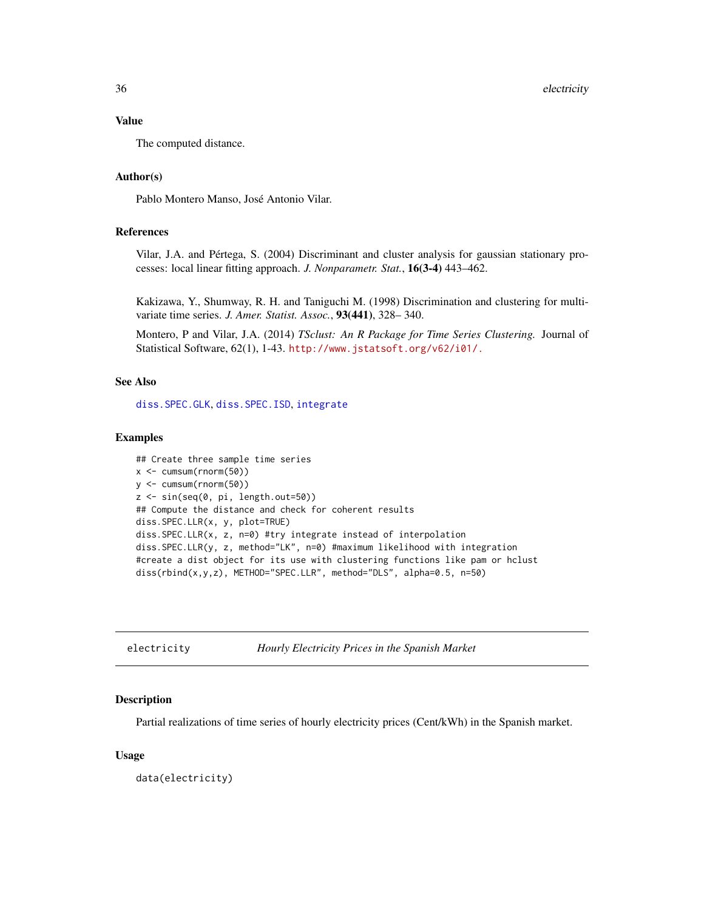# <span id="page-35-0"></span>Value

The computed distance.

# Author(s)

Pablo Montero Manso, José Antonio Vilar.

# References

Vilar, J.A. and Pértega, S. (2004) Discriminant and cluster analysis for gaussian stationary processes: local linear fitting approach. *J. Nonparametr. Stat.*, 16(3-4) 443–462.

Kakizawa, Y., Shumway, R. H. and Taniguchi M. (1998) Discrimination and clustering for multivariate time series. *J. Amer. Statist. Assoc.*, 93(441), 328– 340.

Montero, P and Vilar, J.A. (2014) *TSclust: An R Package for Time Series Clustering.* Journal of Statistical Software, 62(1), 1-43. <http://www.jstatsoft.org/v62/i01/.>

## See Also

[diss.SPEC.GLK](#page-31-1), [diss.SPEC.ISD](#page-32-1), [integrate](#page-0-0)

# Examples

```
## Create three sample time series
x <- cumsum(rnorm(50))
y <- cumsum(rnorm(50))
z <- sin(seq(0, pi, length.out=50))
## Compute the distance and check for coherent results
diss.SPEC.LLR(x, y, plot=TRUE)
diss.SPEC.LLR(x, z, n=0) #try integrate instead of interpolation
diss.SPEC.LLR(y, z, method="LK", n=0) #maximum likelihood with integration
#create a dist object for its use with clustering functions like pam or hclust
diss(rbind(x,y,z), METHOD="SPEC.LLR", method="DLS", alpha=0.5, n=50)
```
electricity *Hourly Electricity Prices in the Spanish Market*

#### Description

Partial realizations of time series of hourly electricity prices (Cent/kWh) in the Spanish market.

## Usage

data(electricity)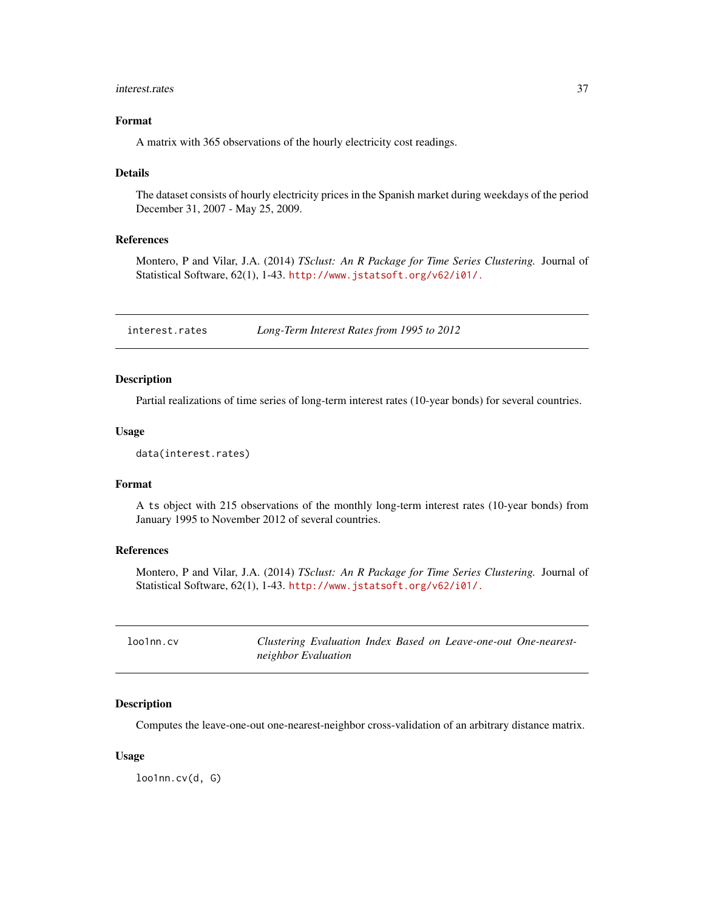#### <span id="page-36-0"></span>interest.rates 37

# Format

A matrix with 365 observations of the hourly electricity cost readings.

#### Details

The dataset consists of hourly electricity prices in the Spanish market during weekdays of the period December 31, 2007 - May 25, 2009.

# References

Montero, P and Vilar, J.A. (2014) *TSclust: An R Package for Time Series Clustering.* Journal of Statistical Software, 62(1), 1-43. <http://www.jstatsoft.org/v62/i01/.>

interest.rates *Long-Term Interest Rates from 1995 to 2012*

# Description

Partial realizations of time series of long-term interest rates (10-year bonds) for several countries.

# Usage

```
data(interest.rates)
```
## Format

A ts object with 215 observations of the monthly long-term interest rates (10-year bonds) from January 1995 to November 2012 of several countries.

# References

Montero, P and Vilar, J.A. (2014) *TSclust: An R Package for Time Series Clustering.* Journal of Statistical Software, 62(1), 1-43. <http://www.jstatsoft.org/v62/i01/.>

| loo1nn.cv |                     |  |  | Clustering Evaluation Index Based on Leave-one-out One-nearest- |  |
|-----------|---------------------|--|--|-----------------------------------------------------------------|--|
|           | neighbor Evaluation |  |  |                                                                 |  |

#### Description

Computes the leave-one-out one-nearest-neighbor cross-validation of an arbitrary distance matrix.

## Usage

loo1nn.cv(d, G)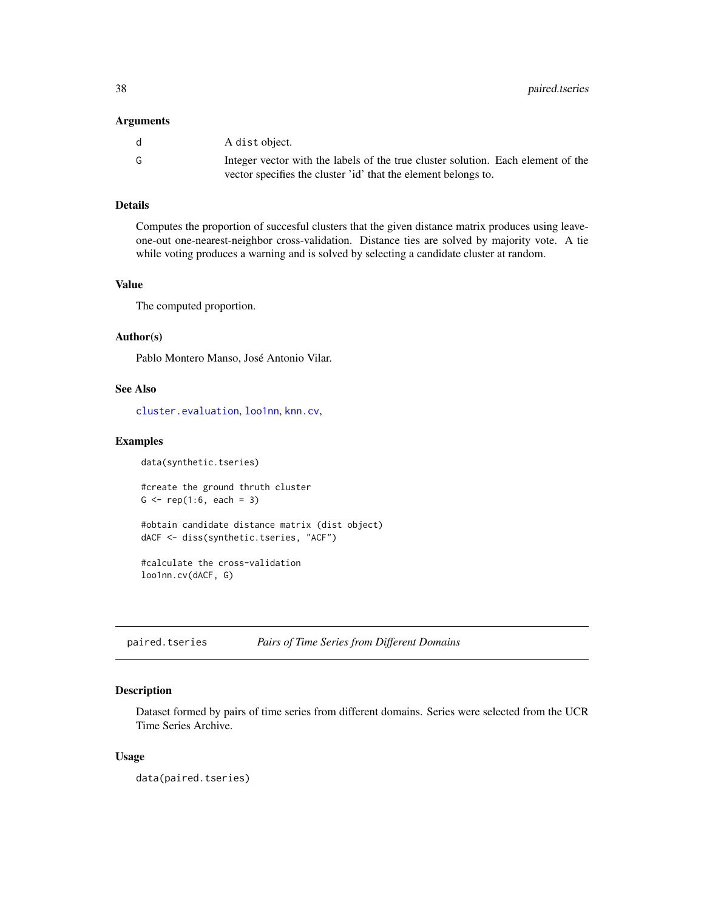#### <span id="page-37-0"></span>Arguments

| d | A dist object.                                                                                                                                     |
|---|----------------------------------------------------------------------------------------------------------------------------------------------------|
| G | Integer vector with the labels of the true cluster solution. Each element of the<br>vector specifies the cluster 'id' that the element belongs to. |

# Details

Computes the proportion of succesful clusters that the given distance matrix produces using leaveone-out one-nearest-neighbor cross-validation. Distance ties are solved by majority vote. A tie while voting produces a warning and is solved by selecting a candidate cluster at random.

# Value

The computed proportion.

## Author(s)

Pablo Montero Manso, José Antonio Vilar.

## See Also

[cluster.evaluation](#page-1-1), [loo1nn](#page-0-0), [knn.cv](#page-0-0),

## Examples

data(synthetic.tseries)

#create the ground thruth cluster  $G \leq -rep(1:6, each = 3)$ 

```
#obtain candidate distance matrix (dist object)
dACF <- diss(synthetic.tseries, "ACF")
```
#calculate the cross-validation loo1nn.cv(dACF, G)

paired.tseries *Pairs of Time Series from Different Domains*

# Description

Dataset formed by pairs of time series from different domains. Series were selected from the UCR Time Series Archive.

## Usage

data(paired.tseries)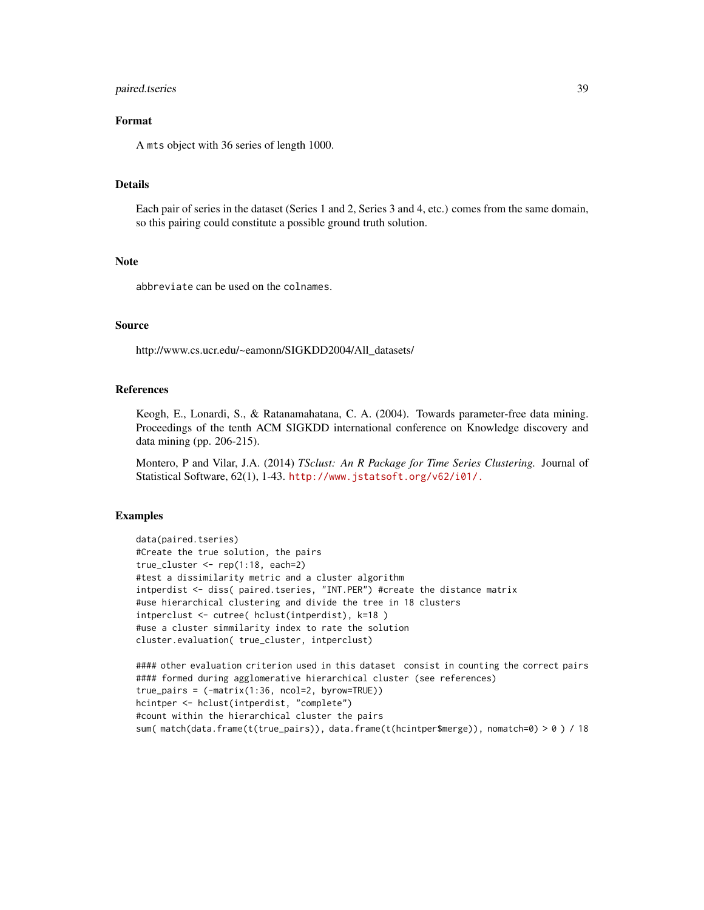# paired.tseries 39

# Format

A mts object with 36 series of length 1000.

## Details

Each pair of series in the dataset (Series 1 and 2, Series 3 and 4, etc.) comes from the same domain, so this pairing could constitute a possible ground truth solution.

## **Note**

abbreviate can be used on the colnames.

#### Source

http://www.cs.ucr.edu/~eamonn/SIGKDD2004/All\_datasets/

# References

Keogh, E., Lonardi, S., & Ratanamahatana, C. A. (2004). Towards parameter-free data mining. Proceedings of the tenth ACM SIGKDD international conference on Knowledge discovery and data mining (pp. 206-215).

Montero, P and Vilar, J.A. (2014) *TSclust: An R Package for Time Series Clustering.* Journal of Statistical Software, 62(1), 1-43. <http://www.jstatsoft.org/v62/i01/.>

# Examples

```
data(paired.tseries)
#Create the true solution, the pairs
true_cluster <- rep(1:18, each=2)
#test a dissimilarity metric and a cluster algorithm
intperdist <- diss( paired.tseries, "INT.PER") #create the distance matrix
#use hierarchical clustering and divide the tree in 18 clusters
intperclust <- cutree( hclust(intperdist), k=18 )
#use a cluster simmilarity index to rate the solution
cluster.evaluation( true_cluster, intperclust)
```

```
#### other evaluation criterion used in this dataset consist in counting the correct pairs
#### formed during agglomerative hierarchical cluster (see references)
true_pairs = (-matrix(1:36, ncol=2, byrow=TRUE))
hcintper <- hclust(intperdist, "complete")
#count within the hierarchical cluster the pairs
sum( match(data.frame(t(true_pairs)), data.frame(t(hcintper$merge)), nomatch=0) > 0 ) / 18
```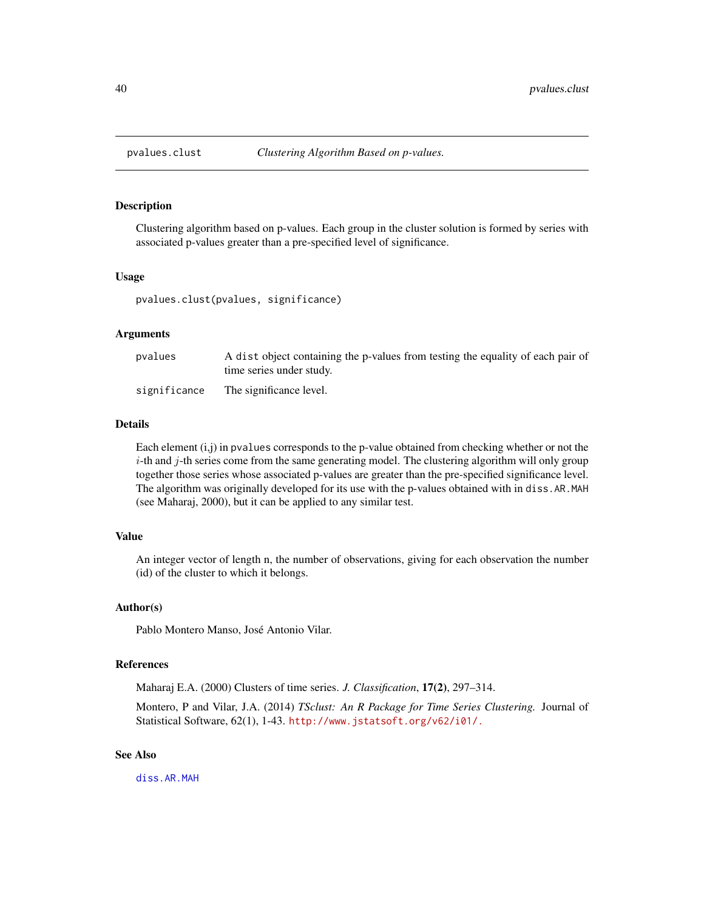<span id="page-39-0"></span>

## Description

Clustering algorithm based on p-values. Each group in the cluster solution is formed by series with associated p-values greater than a pre-specified level of significance.

## Usage

pvalues.clust(pvalues, significance)

# Arguments

| pvalues      | A dist object containing the p-values from testing the equality of each pair of<br>time series under study. |
|--------------|-------------------------------------------------------------------------------------------------------------|
| significance | The significance level.                                                                                     |

# Details

Each element (i,j) in pvalues corresponds to the p-value obtained from checking whether or not the  $i$ -th and  $j$ -th series come from the same generating model. The clustering algorithm will only group together those series whose associated p-values are greater than the pre-specified significance level. The algorithm was originally developed for its use with the p-values obtained with in diss.AR.MAH (see Maharaj, 2000), but it can be applied to any similar test.

# Value

An integer vector of length n, the number of observations, giving for each observation the number (id) of the cluster to which it belongs.

# Author(s)

Pablo Montero Manso, José Antonio Vilar.

## References

Maharaj E.A. (2000) Clusters of time series. *J. Classification*, 17(2), 297–314.

Montero, P and Vilar, J.A. (2014) *TSclust: An R Package for Time Series Clustering.* Journal of Statistical Software, 62(1), 1-43. <http://www.jstatsoft.org/v62/i01/.>

# See Also

[diss.AR.MAH](#page-8-1)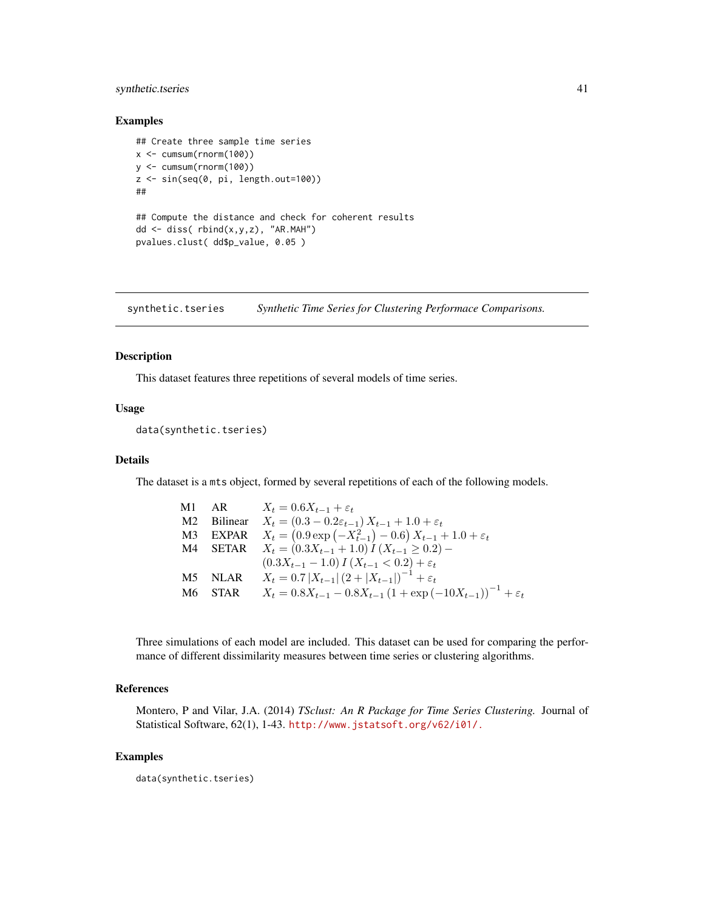# <span id="page-40-0"></span>synthetic.tseries 41

# Examples

```
## Create three sample time series
x \le cumsum(rnorm(100))
y <- cumsum(rnorm(100))
z <- sin(seq(0, pi, length.out=100))
##
## Compute the distance and check for coherent results
dd \leftarrow diss(rbind(x,y,z), "AR.MAH")pvalues.clust( dd$p_value, 0.05 )
```
synthetic.tseries *Synthetic Time Series for Clustering Performace Comparisons.*

#### Description

This dataset features three repetitions of several models of time series.

# Usage

```
data(synthetic.tseries)
```
# Details

The dataset is a mts object, formed by several repetitions of each of the following models.

|  | M1 AR $X_t = 0.6X_{t-1} + \varepsilon_t$                                           |
|--|------------------------------------------------------------------------------------|
|  | M2 Bilinear $X_t = (0.3 - 0.2\varepsilon_{t-1}) X_{t-1} + 1.0 + \varepsilon_t$     |
|  | M3 EXPAR $X_t = (0.9 \exp(-X_{t-1}^2) - 0.6) X_{t-1} + 1.0 + \varepsilon_t$        |
|  | M4 SETAR $X_t = (0.3X_{t-1} + 1.0) I (X_{t-1} \ge 0.2) -$                          |
|  | $(0.3X_{t-1} - 1.0) I(X_{t-1} < 0.2) + \varepsilon_t$                              |
|  | M5 NLAR $X_t = 0.7  X_{t-1}  (2 +  X_{t-1} )^{-1} + \varepsilon_t$                 |
|  | M6 STAR $X_t = 0.8X_{t-1} - 0.8X_{t-1}(1 + \exp(-10X_{t-1}))^{-1} + \varepsilon_t$ |

Three simulations of each model are included. This dataset can be used for comparing the performance of different dissimilarity measures between time series or clustering algorithms.

# References

Montero, P and Vilar, J.A. (2014) *TSclust: An R Package for Time Series Clustering.* Journal of Statistical Software, 62(1), 1-43. <http://www.jstatsoft.org/v62/i01/.>

# Examples

data(synthetic.tseries)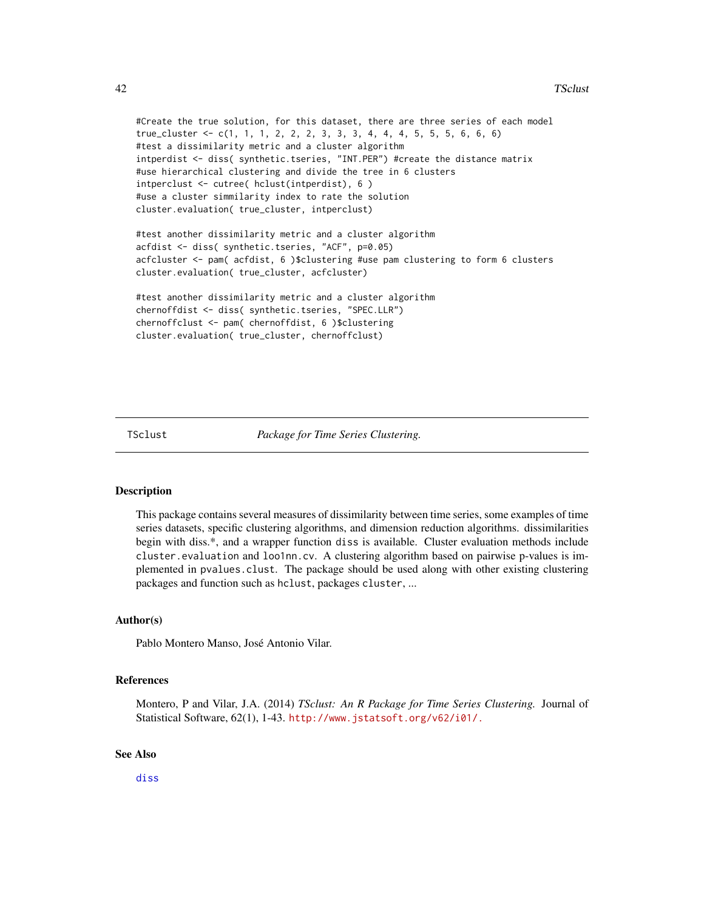```
#Create the true solution, for this dataset, there are three series of each model
true_cluster <- c(1, 1, 1, 2, 2, 2, 3, 3, 3, 4, 4, 4, 5, 5, 5, 6, 6, 6)
#test a dissimilarity metric and a cluster algorithm
intperdist <- diss( synthetic.tseries, "INT.PER") #create the distance matrix
#use hierarchical clustering and divide the tree in 6 clusters
intperclust <- cutree( hclust(intperdist), 6 )
#use a cluster simmilarity index to rate the solution
cluster.evaluation( true_cluster, intperclust)
```
#test another dissimilarity metric and a cluster algorithm acfdist <- diss( synthetic.tseries, "ACF", p=0.05) acfcluster <- pam( acfdist, 6 )\$clustering #use pam clustering to form 6 clusters cluster.evaluation( true\_cluster, acfcluster)

```
#test another dissimilarity metric and a cluster algorithm
chernoffdist <- diss( synthetic.tseries, "SPEC.LLR")
chernoffclust <- pam( chernoffdist, 6 )$clustering
cluster.evaluation( true_cluster, chernoffclust)
```
TSclust *Package for Time Series Clustering.*

# Description

This package contains several measures of dissimilarity between time series, some examples of time series datasets, specific clustering algorithms, and dimension reduction algorithms. dissimilarities begin with diss.\*, and a wrapper function diss is available. Cluster evaluation methods include cluster.evaluation and loo1nn.cv. A clustering algorithm based on pairwise p-values is implemented in pvalues.clust. The package should be used along with other existing clustering packages and function such as hclust, packages cluster, ...

# Author(s)

Pablo Montero Manso, José Antonio Vilar.

## **References**

Montero, P and Vilar, J.A. (2014) *TSclust: An R Package for Time Series Clustering.* Journal of Statistical Software, 62(1), 1-43. <http://www.jstatsoft.org/v62/i01/.>

## See Also

[diss](#page-3-1)

<span id="page-41-0"></span>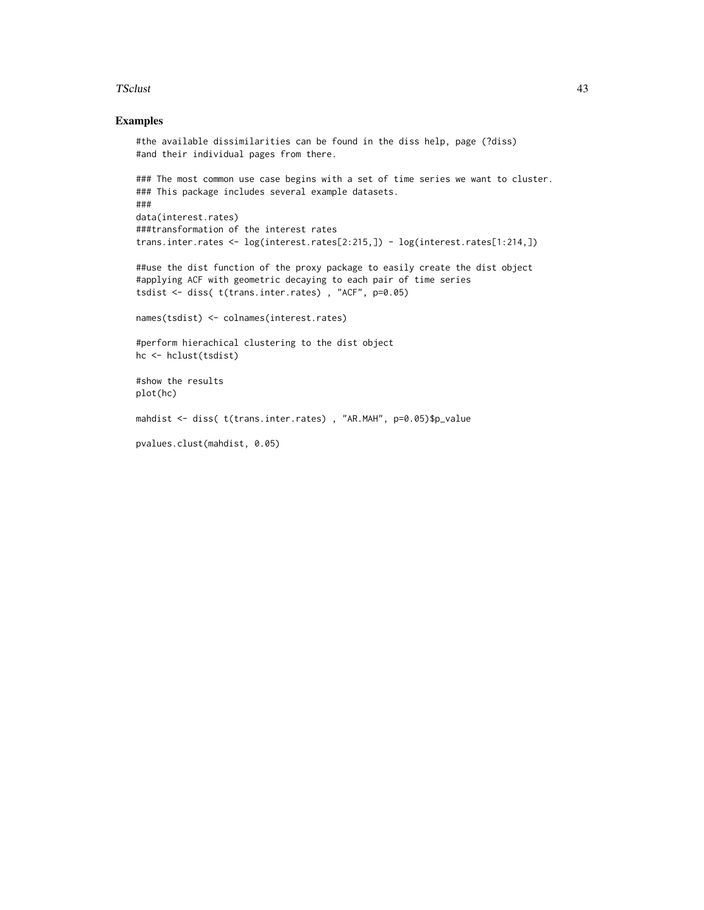## TSclust 43

# Examples

```
#the available dissimilarities can be found in the diss help, page (?diss)
#and their individual pages from there.
### The most common use case begins with a set of time series we want to cluster.
### This package includes several example datasets.
###
data(interest.rates)
###transformation of the interest rates
trans.inter.rates <- log(interest.rates[2:215,]) - log(interest.rates[1:214,])
##use the dist function of the proxy package to easily create the dist object
#applying ACF with geometric decaying to each pair of time series
tsdist <- diss( t(trans.inter.rates) , "ACF", p=0.05)
names(tsdist) <- colnames(interest.rates)
#perform hierachical clustering to the dist object
hc <- hclust(tsdist)
#show the results
plot(hc)
mahdist <- diss( t(trans.inter.rates) , "AR.MAH", p=0.05)$p_value
pvalues.clust(mahdist, 0.05)
```